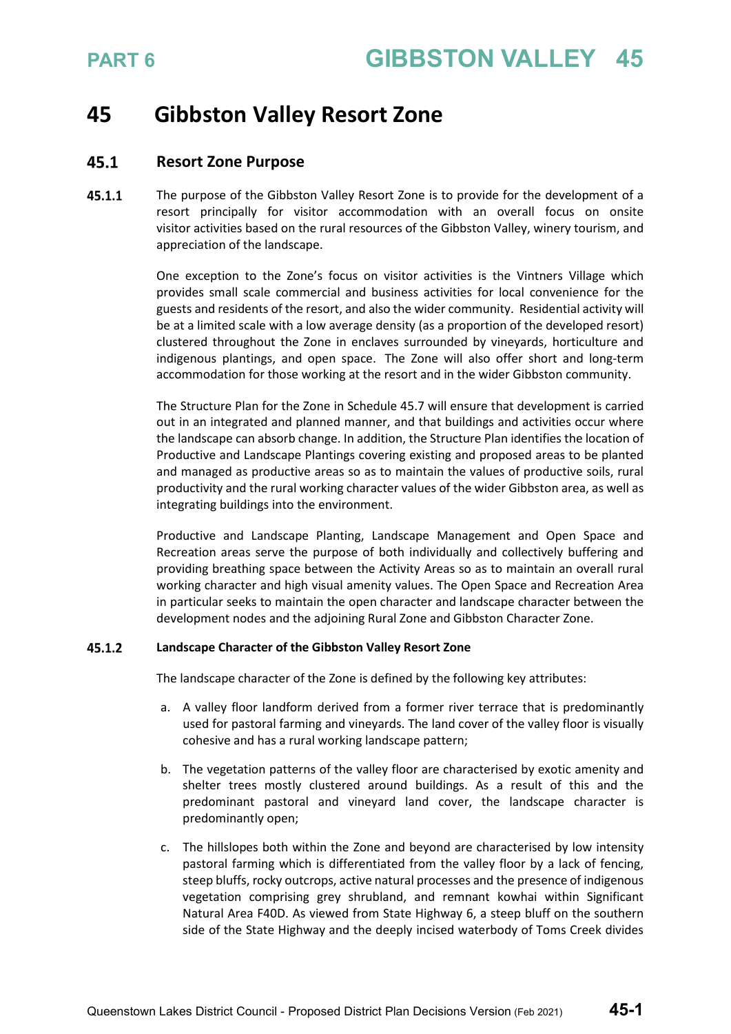### **45 Gibbston Valley Resort Zone**

### 45.1 **Resort Zone Purpose**

45.1.1 The purpose of the Gibbston Valley Resort Zone is to provide for the development of a resort principally for visitor accommodation with an overall focus on onsite visitor activities based on the rural resources of the Gibbston Valley, winery tourism, and appreciation of the landscape.

> One exception to the Zone's focus on visitor activities is the Vintners Village which provides small scale commercial and business activities for local convenience for the guests and residents of the resort, and also the wider community. Residential activity will be at a limited scale with a low average density (as a proportion of the developed resort) clustered throughout the Zone in enclaves surrounded by vineyards, horticulture and indigenous plantings, and open space. The Zone will also offer short and long-term accommodation for those working at the resort and in the wider Gibbston community.

> The Structure Plan for the Zone in Schedule 45.7 will ensure that development is carried out in an integrated and planned manner, and that buildings and activities occur where the landscape can absorb change. In addition, the Structure Plan identifies the location of Productive and Landscape Plantings covering existing and proposed areas to be planted and managed as productive areas so as to maintain the values of productive soils, rural productivity and the rural working character values of the wider Gibbston area, as well as integrating buildings into the environment.

> Productive and Landscape Planting, Landscape Management and Open Space and Recreation areas serve the purpose of both individually and collectively buffering and providing breathing space between the Activity Areas so as to maintain an overall rural working character and high visual amenity values. The Open Space and Recreation Area in particular seeks to maintain the open character and landscape character between the development nodes and the adjoining Rural Zone and Gibbston Character Zone.

### 45.1.2 **Landscape Character of the Gibbston Valley Resort Zone**

The landscape character of the Zone is defined by the following key attributes:

- a. A valley floor landform derived from a former river terrace that is predominantly used for pastoral farming and vineyards. The land cover of the valley floor is visually cohesive and has a rural working landscape pattern;
- b. The vegetation patterns of the valley floor are characterised by exotic amenity and shelter trees mostly clustered around buildings. As a result of this and the predominant pastoral and vineyard land cover, the landscape character is predominantly open;
- c. The hillslopes both within the Zone and beyond are characterised by low intensity pastoral farming which is differentiated from the valley floor by a lack of fencing, steep bluffs, rocky outcrops, active natural processes and the presence of indigenous vegetation comprising grey shrubland, and remnant kowhai within Significant Natural Area F40D. As viewed from State Highway 6, a steep bluff on the southern side of the State Highway and the deeply incised waterbody of Toms Creek divides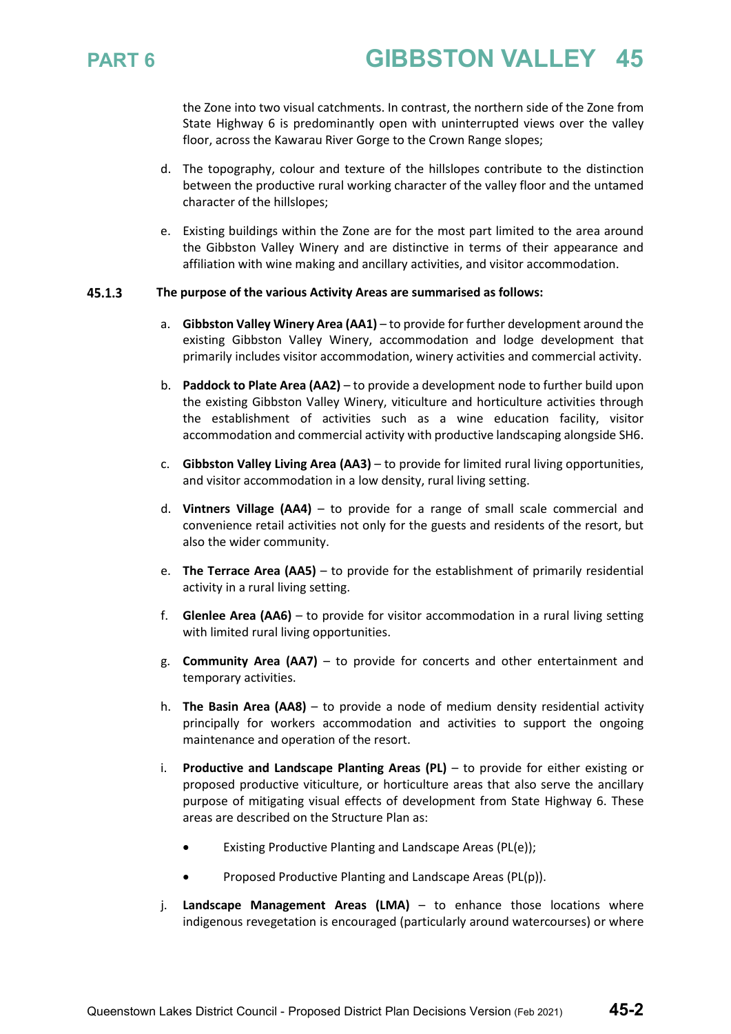

the Zone into two visual catchments. In contrast, the northern side of the Zone from State Highway 6 is predominantly open with uninterrupted views over the valley floor, across the Kawarau River Gorge to the Crown Range slopes;

- d. The topography, colour and texture of the hillslopes contribute to the distinction between the productive rural working character of the valley floor and the untamed character of the hillslopes;
- e. Existing buildings within the Zone are for the most part limited to the area around the Gibbston Valley Winery and are distinctive in terms of their appearance and affiliation with wine making and ancillary activities, and visitor accommodation.

### $45.1.3$ **The purpose of the various Activity Areas are summarised as follows:**

- a. **Gibbston Valley Winery Area (AA1)** to provide for further development around the existing Gibbston Valley Winery, accommodation and lodge development that primarily includes visitor accommodation, winery activities and commercial activity.
- b. **Paddock to Plate Area (AA2)** to provide a development node to further build upon the existing Gibbston Valley Winery, viticulture and horticulture activities through the establishment of activities such as a wine education facility, visitor accommodation and commercial activity with productive landscaping alongside SH6.
- c. **Gibbston Valley Living Area (AA3)** to provide for limited rural living opportunities, and visitor accommodation in a low density, rural living setting.
- d. **Vintners Village (AA4)** to provide for a range of small scale commercial and convenience retail activities not only for the guests and residents of the resort, but also the wider community.
- e. **The Terrace Area (AA5)** to provide for the establishment of primarily residential activity in a rural living setting.
- f. **Glenlee Area (AA6)** to provide for visitor accommodation in a rural living setting with limited rural living opportunities.
- g. **Community Area (AA7)** to provide for concerts and other entertainment and temporary activities.
- h. **The Basin Area (AA8)** to provide a node of medium density residential activity principally for workers accommodation and activities to support the ongoing maintenance and operation of the resort.
- i. **Productive and Landscape Planting Areas (PL)** to provide for either existing or proposed productive viticulture, or horticulture areas that also serve the ancillary purpose of mitigating visual effects of development from State Highway 6. These areas are described on the Structure Plan as:
	- Existing Productive Planting and Landscape Areas (PL(e));
	- Proposed Productive Planting and Landscape Areas (PL(p)).
- j. **Landscape Management Areas (LMA)**  to enhance those locations where indigenous revegetation is encouraged (particularly around watercourses) or where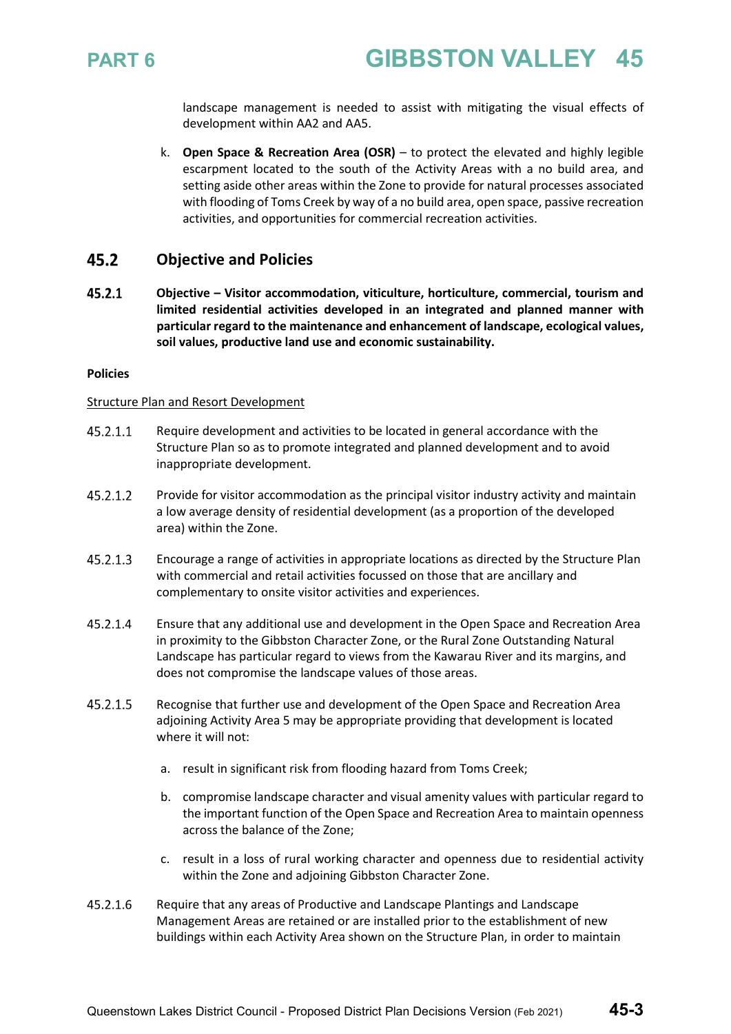

landscape management is needed to assist with mitigating the visual effects of development within AA2 and AA5.

k. **Open Space & Recreation Area (OSR)** – to protect the elevated and highly legible escarpment located to the south of the Activity Areas with a no build area, and setting aside other areas within the Zone to provide for natural processes associated with flooding of Toms Creek by way of a no build area, open space, passive recreation activities, and opportunities for commercial recreation activities.

### 45.2 **Objective and Policies**

45.2.1 **Objective – Visitor accommodation, viticulture, horticulture, commercial, tourism and limited residential activities developed in an integrated and planned manner with particular regard to the maintenance and enhancement of landscape, ecological values, soil values, productive land use and economic sustainability.** 

### **Policies**

### Structure Plan and Resort Development

- 45.2.1.1 Require development and activities to be located in general accordance with the Structure Plan so as to promote integrated and planned development and to avoid inappropriate development.
- 45.2.1.2 Provide for visitor accommodation as the principal visitor industry activity and maintain a low average density of residential development (as a proportion of the developed area) within the Zone.
- $45.2.1.3$ Encourage a range of activities in appropriate locations as directed by the Structure Plan with commercial and retail activities focussed on those that are ancillary and complementary to onsite visitor activities and experiences.
- 45.2.1.4 Ensure that any additional use and development in the Open Space and Recreation Area in proximity to the Gibbston Character Zone, or the Rural Zone Outstanding Natural Landscape has particular regard to views from the Kawarau River and its margins, and does not compromise the landscape values of those areas.
- 45.2.1.5 Recognise that further use and development of the Open Space and Recreation Area adjoining Activity Area 5 may be appropriate providing that development is located where it will not:
	- a. result in significant risk from flooding hazard from Toms Creek;
	- b. compromise landscape character and visual amenity values with particular regard to the important function of the Open Space and Recreation Area to maintain openness across the balance of the Zone;
	- c. result in a loss of rural working character and openness due to residential activity within the Zone and adjoining Gibbston Character Zone.
- 45.2.1.6 Require that any areas of Productive and Landscape Plantings and Landscape Management Areas are retained or are installed prior to the establishment of new buildings within each Activity Area shown on the Structure Plan, in order to maintain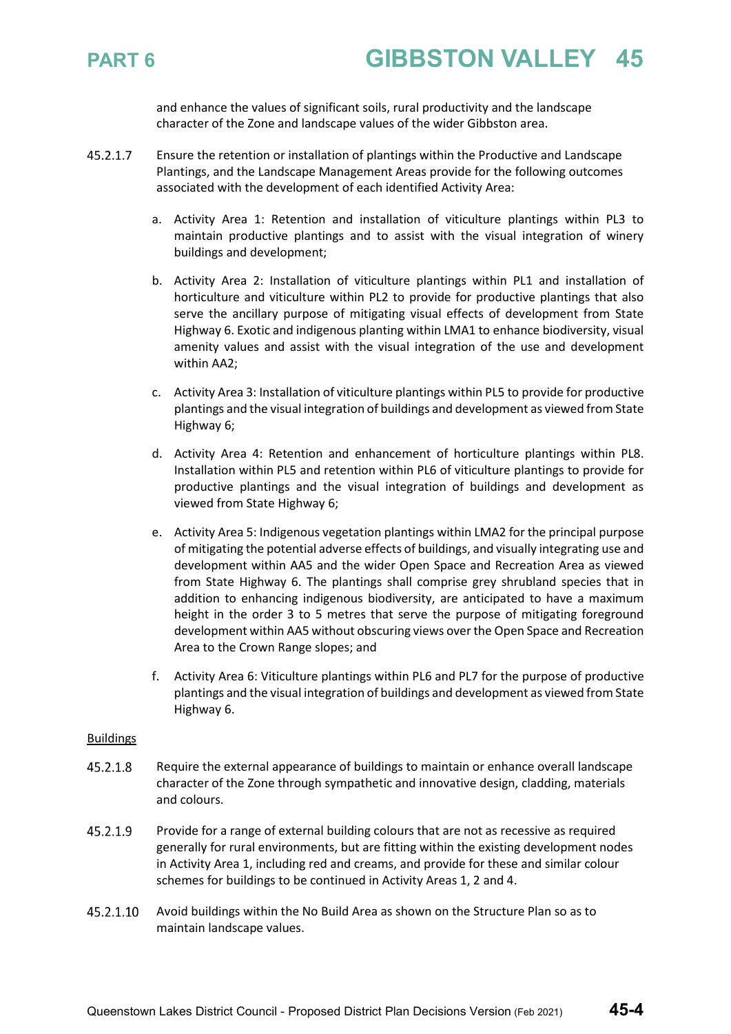

and enhance the values of significant soils, rural productivity and the landscape character of the Zone and landscape values of the wider Gibbston area.

- 45.2.1.7 Ensure the retention or installation of plantings within the Productive and Landscape Plantings, and the Landscape Management Areas provide for the following outcomes associated with the development of each identified Activity Area:
	- a. Activity Area 1: Retention and installation of viticulture plantings within PL3 to maintain productive plantings and to assist with the visual integration of winery buildings and development;
	- b. Activity Area 2: Installation of viticulture plantings within PL1 and installation of horticulture and viticulture within PL2 to provide for productive plantings that also serve the ancillary purpose of mitigating visual effects of development from State Highway 6. Exotic and indigenous planting within LMA1 to enhance biodiversity, visual amenity values and assist with the visual integration of the use and development within AA2;
	- c. Activity Area 3: Installation of viticulture plantings within PL5 to provide for productive plantings and the visual integration of buildings and development as viewed from State Highway 6;
	- d. Activity Area 4: Retention and enhancement of horticulture plantings within PL8. Installation within PL5 and retention within PL6 of viticulture plantings to provide for productive plantings and the visual integration of buildings and development as viewed from State Highway 6;
	- e. Activity Area 5: Indigenous vegetation plantings within LMA2 for the principal purpose of mitigating the potential adverse effects of buildings, and visually integrating use and development within AA5 and the wider Open Space and Recreation Area as viewed from State Highway 6. The plantings shall comprise grey shrubland species that in addition to enhancing indigenous biodiversity, are anticipated to have a maximum height in the order 3 to 5 metres that serve the purpose of mitigating foreground development within AA5 without obscuring views over the Open Space and Recreation Area to the Crown Range slopes; and
	- f. Activity Area 6: Viticulture plantings within PL6 and PL7 for the purpose of productive plantings and the visual integration of buildings and development as viewed from State Highway 6.

### Buildings

- 45.2.1.8 Require the external appearance of buildings to maintain or enhance overall landscape character of the Zone through sympathetic and innovative design, cladding, materials and colours.
- 45.2.1.9 Provide for a range of external building colours that are not as recessive as required generally for rural environments, but are fitting within the existing development nodes in Activity Area 1, including red and creams, and provide for these and similar colour schemes for buildings to be continued in Activity Areas 1, 2 and 4.
- 45.2.1.10 Avoid buildings within the No Build Area as shown on the Structure Plan so as to maintain landscape values.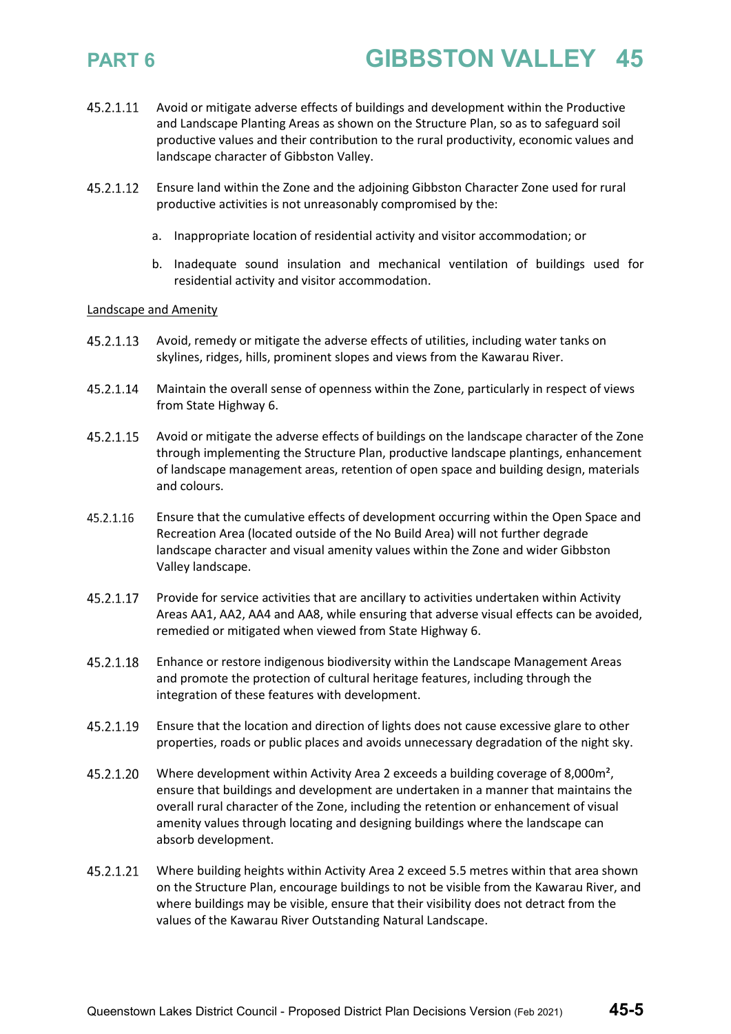- Avoid or mitigate adverse effects of buildings and development within the Productive 45.2.1.11 and Landscape Planting Areas as shown on the Structure Plan, so as to safeguard soil productive values and their contribution to the rural productivity, economic values and landscape character of Gibbston Valley.
- 45.2.1.12 Ensure land within the Zone and the adjoining Gibbston Character Zone used for rural productive activities is not unreasonably compromised by the:
	- a. Inappropriate location of residential activity and visitor accommodation; or
	- b. Inadequate sound insulation and mechanical ventilation of buildings used for residential activity and visitor accommodation.

### Landscape and Amenity

- 45.2.1.13 Avoid, remedy or mitigate the adverse effects of utilities, including water tanks on skylines, ridges, hills, prominent slopes and views from the Kawarau River.
- 45.2.1.14 Maintain the overall sense of openness within the Zone, particularly in respect of views from State Highway 6.
- 45.2.1.15 Avoid or mitigate the adverse effects of buildings on the landscape character of the Zone through implementing the Structure Plan, productive landscape plantings, enhancement of landscape management areas, retention of open space and building design, materials and colours.
- 45.2.1.16 Ensure that the cumulative effects of development occurring within the Open Space and Recreation Area (located outside of the No Build Area) will not further degrade landscape character and visual amenity values within the Zone and wider Gibbston Valley landscape.
- 45.2.1.17 Provide for service activities that are ancillary to activities undertaken within Activity Areas AA1, AA2, AA4 and AA8, while ensuring that adverse visual effects can be avoided, remedied or mitigated when viewed from State Highway 6.
- 45.2.1.18 Enhance or restore indigenous biodiversity within the Landscape Management Areas and promote the protection of cultural heritage features, including through the integration of these features with development.
- 45.2.1.19 Ensure that the location and direction of lights does not cause excessive glare to other properties, roads or public places and avoids unnecessary degradation of the night sky.
- 45.2.1.20 Where development within Activity Area 2 exceeds a building coverage of 8,000m², ensure that buildings and development are undertaken in a manner that maintains the overall rural character of the Zone, including the retention or enhancement of visual amenity values through locating and designing buildings where the landscape can absorb development.
- 45.2.1.21 Where building heights within Activity Area 2 exceed 5.5 metres within that area shown on the Structure Plan, encourage buildings to not be visible from the Kawarau River, and where buildings may be visible, ensure that their visibility does not detract from the values of the Kawarau River Outstanding Natural Landscape.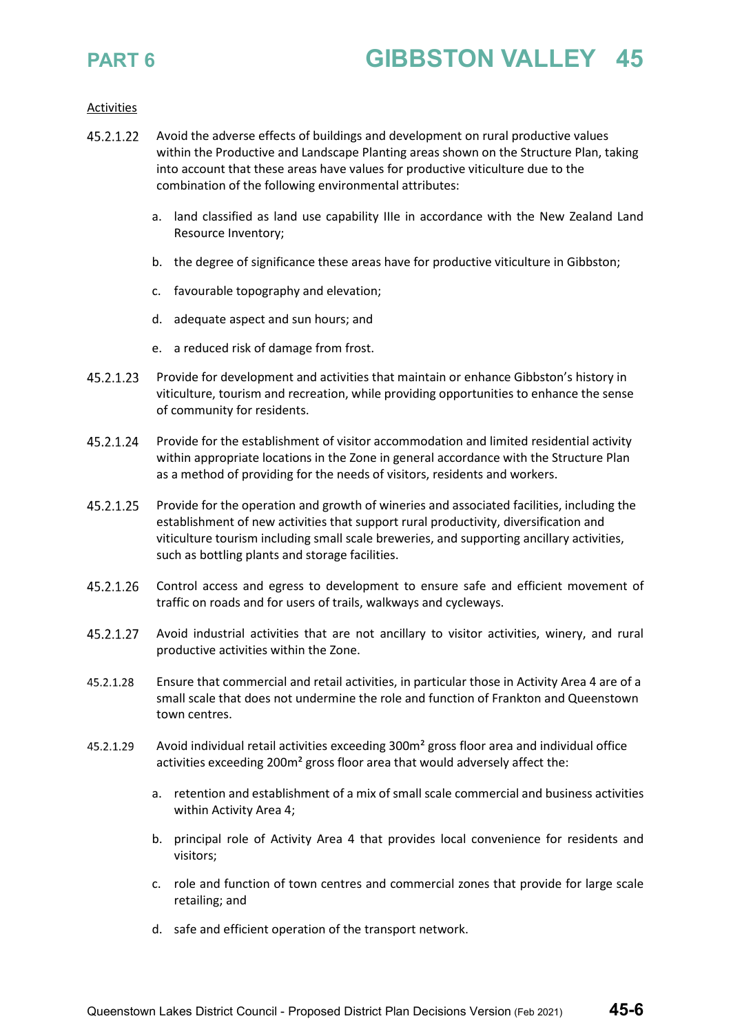### Activities

- 45.2.1.22 Avoid the adverse effects of buildings and development on rural productive values within the Productive and Landscape Planting areas shown on the Structure Plan, taking into account that these areas have values for productive viticulture due to the combination of the following environmental attributes:
	- a. land classified as land use capability IIIe in accordance with the New Zealand Land Resource Inventory;
	- b. the degree of significance these areas have for productive viticulture in Gibbston;
	- c. favourable topography and elevation;
	- d. adequate aspect and sun hours; and
	- e. a reduced risk of damage from frost.
- 45.2.1.23 Provide for development and activities that maintain or enhance Gibbston's history in viticulture, tourism and recreation, while providing opportunities to enhance the sense of community for residents.
- 45.2.1.24 Provide for the establishment of visitor accommodation and limited residential activity within appropriate locations in the Zone in general accordance with the Structure Plan as a method of providing for the needs of visitors, residents and workers.
- 45.2.1.25 Provide for the operation and growth of wineries and associated facilities, including the establishment of new activities that support rural productivity, diversification and viticulture tourism including small scale breweries, and supporting ancillary activities, such as bottling plants and storage facilities.
- 45.2.1.26 Control access and egress to development to ensure safe and efficient movement of traffic on roads and for users of trails, walkways and cycleways.
- 45.2.1.27 Avoid industrial activities that are not ancillary to visitor activities, winery, and rural productive activities within the Zone.
- Ensure that commercial and retail activities, in particular those in Activity Area 4 are of a 45.2.1.28 small scale that does not undermine the role and function of Frankton and Queenstown town centres.
- 45.2.1.29 Avoid individual retail activities exceeding 300m² gross floor area and individual office activities exceeding 200m² gross floor area that would adversely affect the:
	- a. retention and establishment of a mix of small scale commercial and business activities within Activity Area 4;
	- b. principal role of Activity Area 4 that provides local convenience for residents and visitors;
	- c. role and function of town centres and commercial zones that provide for large scale retailing; and
	- d. safe and efficient operation of the transport network.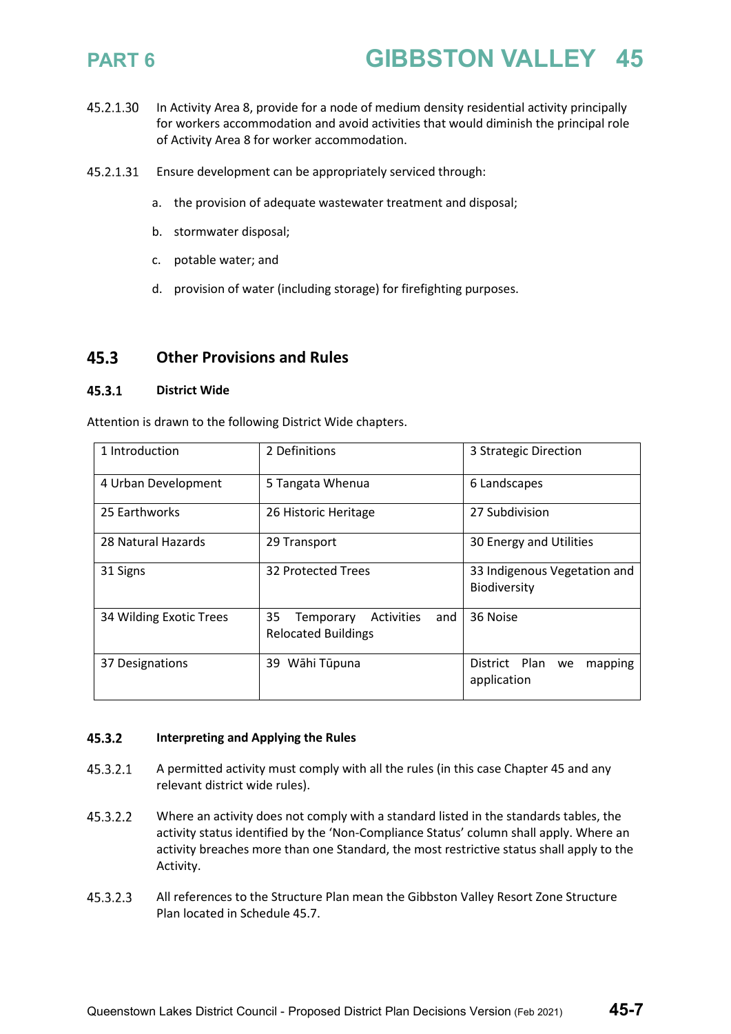- 45.2.1.30 In Activity Area 8, provide for a node of medium density residential activity principally for workers accommodation and avoid activities that would diminish the principal role of Activity Area 8 for worker accommodation.
- 45.2.1.31 Ensure development can be appropriately serviced through:
	- a. the provision of adequate wastewater treatment and disposal;
	- b. stormwater disposal;
	- c. potable water; and
	- d. provision of water (including storage) for firefighting purposes.

### 45.3 **Other Provisions and Rules**

### $45.3.1$ **District Wide**

Attention is drawn to the following District Wide chapters.

| 1 Introduction          | 2 Definitions                                                             | 3 Strategic Direction                               |  |
|-------------------------|---------------------------------------------------------------------------|-----------------------------------------------------|--|
| 4 Urban Development     | 5 Tangata Whenua                                                          | 6 Landscapes                                        |  |
| 25 Earthworks           | 26 Historic Heritage                                                      | 27 Subdivision                                      |  |
| 28 Natural Hazards      | 29 Transport                                                              | 30 Energy and Utilities                             |  |
| 31 Signs                | 32 Protected Trees                                                        | 33 Indigenous Vegetation and<br><b>Biodiversity</b> |  |
| 34 Wilding Exotic Trees | 35<br><b>Activities</b><br>Temporary<br>and<br><b>Relocated Buildings</b> | 36 Noise                                            |  |
| 37 Designations         | 39 Wāhi Tūpuna                                                            | District Plan<br>mapping<br>we<br>application       |  |

### 45.3.2 **Interpreting and Applying the Rules**

- 45.3.2.1 A permitted activity must comply with all the rules (in this case Chapter 45 and any relevant district wide rules).
- 45.3.2.2 Where an activity does not comply with a standard listed in the standards tables, the activity status identified by the 'Non-Compliance Status' column shall apply. Where an activity breaches more than one Standard, the most restrictive status shall apply to the Activity.
- All references to the Structure Plan mean the Gibbston Valley Resort Zone Structure 45.3.2.3 Plan located in Schedule 45.7.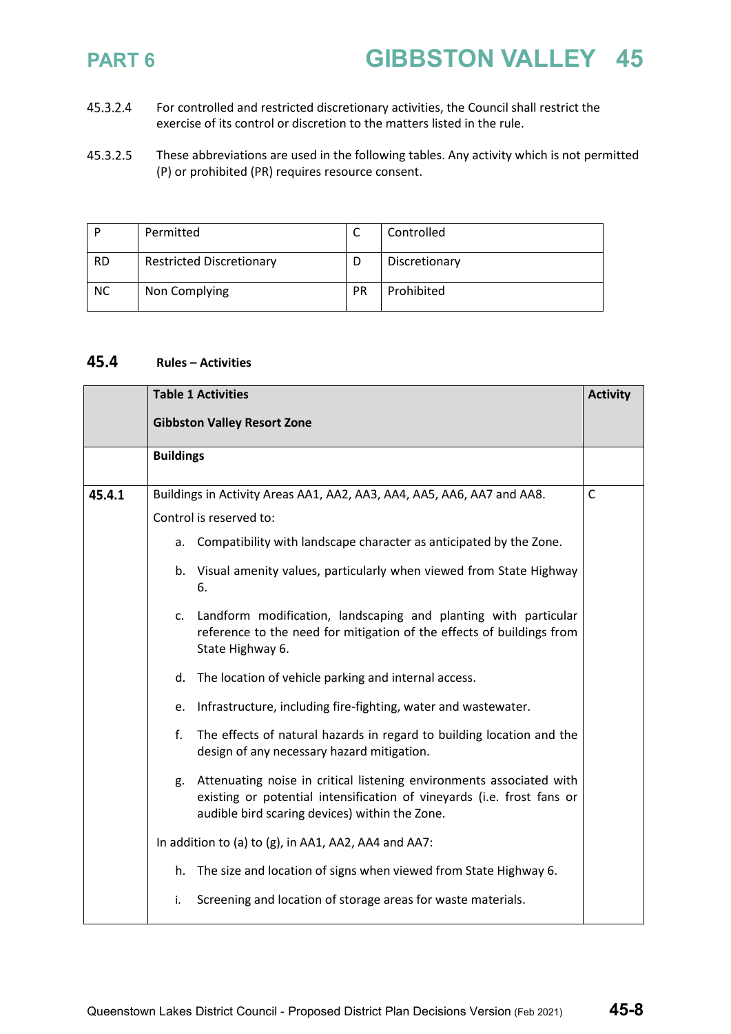- 45.3.2.4 For controlled and restricted discretionary activities, the Council shall restrict the exercise of its control or discretion to the matters listed in the rule.
- 45.3.2.5 These abbreviations are used in the following tables. Any activity which is not permitted (P) or prohibited (PR) requires resource consent.

|           | Permitted                       | ◡         | Controlled    |
|-----------|---------------------------------|-----------|---------------|
| <b>RD</b> | <b>Restricted Discretionary</b> |           | Discretionary |
| <b>NC</b> | Non Complying                   | <b>PR</b> | Prohibited    |

### 45.4 **Rules – Activities**

|        |                                                                                                                                                                    | <b>Table 1 Activities</b>                                                                                                                                                                        | <b>Activity</b> |
|--------|--------------------------------------------------------------------------------------------------------------------------------------------------------------------|--------------------------------------------------------------------------------------------------------------------------------------------------------------------------------------------------|-----------------|
|        |                                                                                                                                                                    | <b>Gibbston Valley Resort Zone</b>                                                                                                                                                               |                 |
|        | <b>Buildings</b>                                                                                                                                                   |                                                                                                                                                                                                  |                 |
| 45.4.1 |                                                                                                                                                                    | Buildings in Activity Areas AA1, AA2, AA3, AA4, AA5, AA6, AA7 and AA8.                                                                                                                           | $\mathsf{C}$    |
|        | Control is reserved to:                                                                                                                                            |                                                                                                                                                                                                  |                 |
|        | a.                                                                                                                                                                 | Compatibility with landscape character as anticipated by the Zone.                                                                                                                               |                 |
|        |                                                                                                                                                                    | b. Visual amenity values, particularly when viewed from State Highway<br>6.                                                                                                                      |                 |
|        | Landform modification, landscaping and planting with particular<br>c.<br>reference to the need for mitigation of the effects of buildings from<br>State Highway 6. |                                                                                                                                                                                                  |                 |
|        | The location of vehicle parking and internal access.<br>d.                                                                                                         |                                                                                                                                                                                                  |                 |
|        | Infrastructure, including fire-fighting, water and wastewater.<br>e.                                                                                               |                                                                                                                                                                                                  |                 |
|        | f.                                                                                                                                                                 | The effects of natural hazards in regard to building location and the<br>design of any necessary hazard mitigation.                                                                              |                 |
|        | g.                                                                                                                                                                 | Attenuating noise in critical listening environments associated with<br>existing or potential intensification of vineyards (i.e. frost fans or<br>audible bird scaring devices) within the Zone. |                 |
|        |                                                                                                                                                                    | In addition to (a) to (g), in AA1, AA2, AA4 and AA7:                                                                                                                                             |                 |
|        | h.                                                                                                                                                                 | The size and location of signs when viewed from State Highway 6.                                                                                                                                 |                 |
|        | i.                                                                                                                                                                 | Screening and location of storage areas for waste materials.                                                                                                                                     |                 |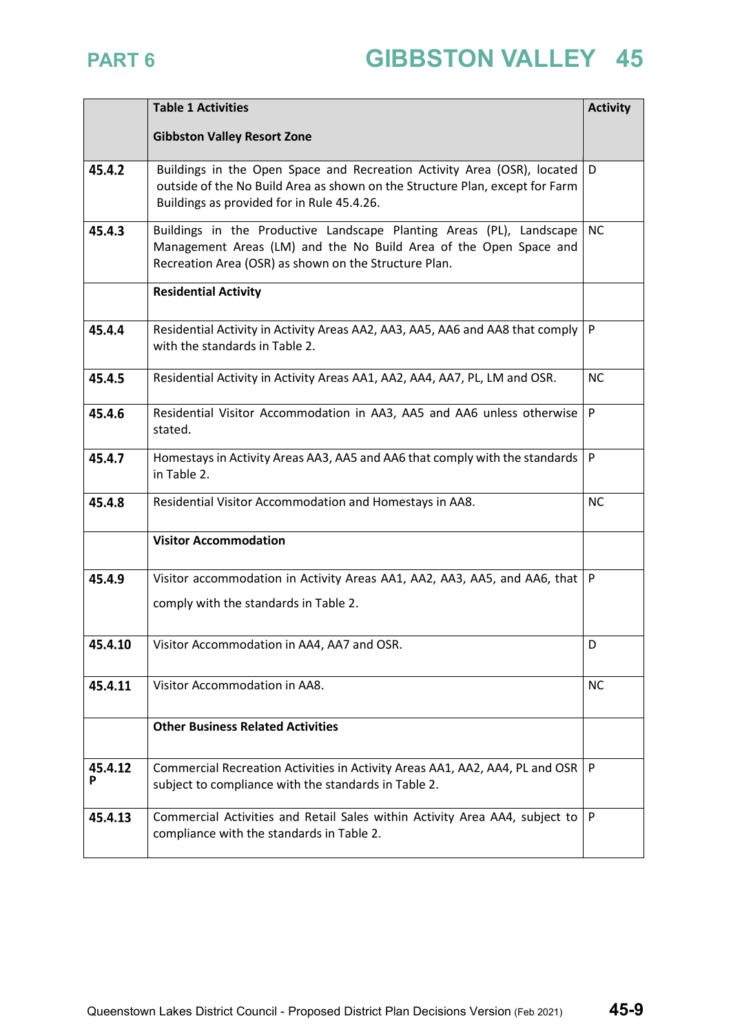|              | <b>Table 1 Activities</b>                                                                                                                                                                             | <b>Activity</b> |
|--------------|-------------------------------------------------------------------------------------------------------------------------------------------------------------------------------------------------------|-----------------|
|              | <b>Gibbston Valley Resort Zone</b>                                                                                                                                                                    |                 |
| 45.4.2       | Buildings in the Open Space and Recreation Activity Area (OSR), located<br>outside of the No Build Area as shown on the Structure Plan, except for Farm<br>Buildings as provided for in Rule 45.4.26. | D               |
| 45.4.3       | Buildings in the Productive Landscape Planting Areas (PL), Landscape<br>Management Areas (LM) and the No Build Area of the Open Space and<br>Recreation Area (OSR) as shown on the Structure Plan.    | <b>NC</b>       |
|              | <b>Residential Activity</b>                                                                                                                                                                           |                 |
| 45.4.4       | Residential Activity in Activity Areas AA2, AA3, AA5, AA6 and AA8 that comply<br>with the standards in Table 2.                                                                                       | P               |
| 45.4.5       | Residential Activity in Activity Areas AA1, AA2, AA4, AA7, PL, LM and OSR.                                                                                                                            | <b>NC</b>       |
| 45.4.6       | Residential Visitor Accommodation in AA3, AA5 and AA6 unless otherwise<br>stated.                                                                                                                     | P               |
| 45.4.7       | Homestays in Activity Areas AA3, AA5 and AA6 that comply with the standards<br>in Table 2.                                                                                                            | P               |
| 45.4.8       | Residential Visitor Accommodation and Homestays in AA8.                                                                                                                                               | <b>NC</b>       |
|              | <b>Visitor Accommodation</b>                                                                                                                                                                          |                 |
| 45.4.9       | Visitor accommodation in Activity Areas AA1, AA2, AA3, AA5, and AA6, that                                                                                                                             | $\mathsf{P}$    |
|              | comply with the standards in Table 2.                                                                                                                                                                 |                 |
| 45.4.10      | Visitor Accommodation in AA4, AA7 and OSR.                                                                                                                                                            | D               |
| 45.4.11      | Visitor Accommodation in AA8.                                                                                                                                                                         | <b>NC</b>       |
|              | <b>Other Business Related Activities</b>                                                                                                                                                              |                 |
| 45.4.12<br>P | Commercial Recreation Activities in Activity Areas AA1, AA2, AA4, PL and OSR<br>subject to compliance with the standards in Table 2.                                                                  | $\mathsf{P}$    |
| 45.4.13      | Commercial Activities and Retail Sales within Activity Area AA4, subject to<br>compliance with the standards in Table 2.                                                                              | P               |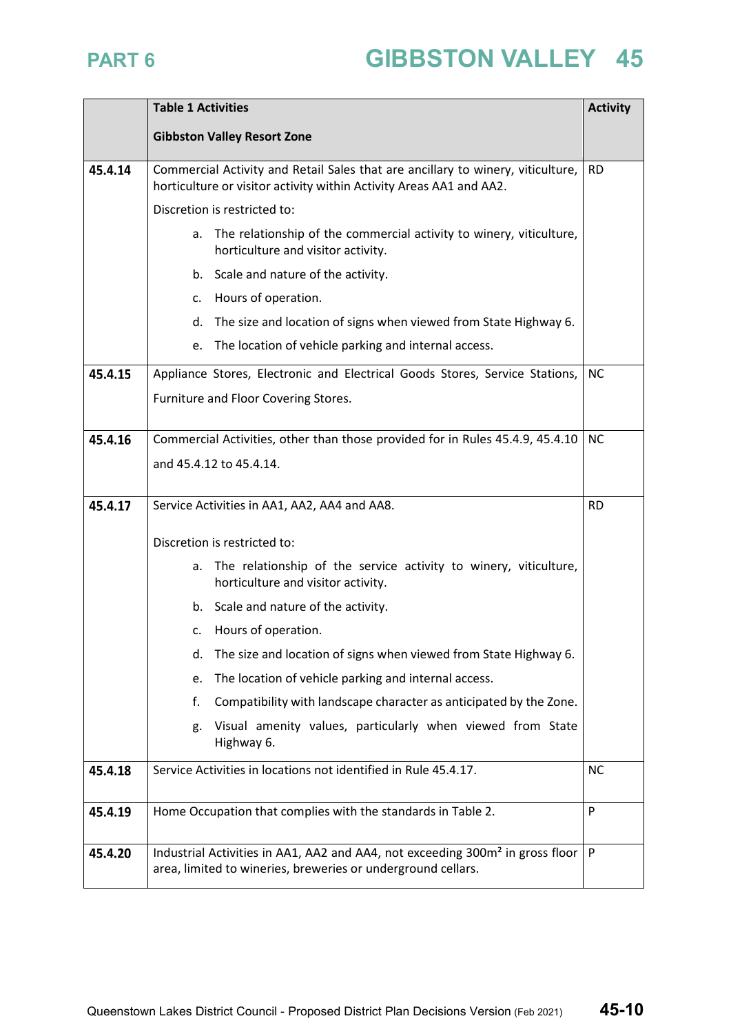|         | <b>Table 1 Activities</b>                                                                                                                                 |           |  |
|---------|-----------------------------------------------------------------------------------------------------------------------------------------------------------|-----------|--|
|         | <b>Gibbston Valley Resort Zone</b>                                                                                                                        |           |  |
| 45.4.14 | Commercial Activity and Retail Sales that are ancillary to winery, viticulture,<br>horticulture or visitor activity within Activity Areas AA1 and AA2.    | <b>RD</b> |  |
|         | Discretion is restricted to:                                                                                                                              |           |  |
|         | The relationship of the commercial activity to winery, viticulture,<br>a.<br>horticulture and visitor activity.                                           |           |  |
|         | b. Scale and nature of the activity.                                                                                                                      |           |  |
|         | Hours of operation.<br>c.                                                                                                                                 |           |  |
|         | The size and location of signs when viewed from State Highway 6.<br>d.                                                                                    |           |  |
|         | The location of vehicle parking and internal access.<br>e.                                                                                                |           |  |
| 45.4.15 | Appliance Stores, Electronic and Electrical Goods Stores, Service Stations,                                                                               | <b>NC</b> |  |
|         | Furniture and Floor Covering Stores.                                                                                                                      |           |  |
|         |                                                                                                                                                           |           |  |
| 45.4.16 | Commercial Activities, other than those provided for in Rules 45.4.9, 45.4.10                                                                             | <b>NC</b> |  |
|         | and 45.4.12 to 45.4.14.                                                                                                                                   |           |  |
| 45.4.17 | Service Activities in AA1, AA2, AA4 and AA8.                                                                                                              |           |  |
|         |                                                                                                                                                           | <b>RD</b> |  |
|         | Discretion is restricted to:                                                                                                                              |           |  |
|         | The relationship of the service activity to winery, viticulture,<br>а.<br>horticulture and visitor activity.                                              |           |  |
|         | b. Scale and nature of the activity.                                                                                                                      |           |  |
|         | Hours of operation.<br>c.                                                                                                                                 |           |  |
|         | The size and location of signs when viewed from State Highway 6.<br>d.                                                                                    |           |  |
|         | The location of vehicle parking and internal access.<br>e.                                                                                                |           |  |
|         | Compatibility with landscape character as anticipated by the Zone.<br>f.                                                                                  |           |  |
|         | Visual amenity values, particularly when viewed from State<br>g.<br>Highway 6.                                                                            |           |  |
| 45.4.18 | Service Activities in locations not identified in Rule 45.4.17.                                                                                           | <b>NC</b> |  |
| 45.4.19 | Home Occupation that complies with the standards in Table 2.                                                                                              | P         |  |
| 45.4.20 | Industrial Activities in AA1, AA2 and AA4, not exceeding 300m <sup>2</sup> in gross floor<br>area, limited to wineries, breweries or underground cellars. | P         |  |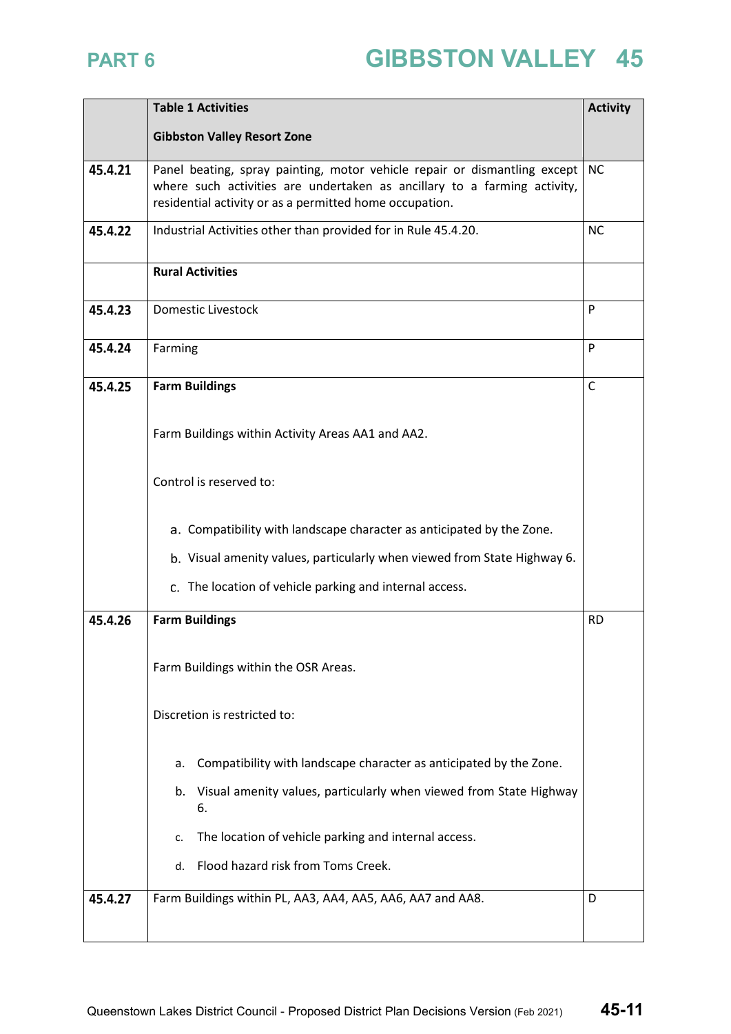|         | <b>Table 1 Activities</b>                                                                                                                                                                                        |           |  |  |  |
|---------|------------------------------------------------------------------------------------------------------------------------------------------------------------------------------------------------------------------|-----------|--|--|--|
|         | <b>Gibbston Valley Resort Zone</b>                                                                                                                                                                               |           |  |  |  |
| 45.4.21 | Panel beating, spray painting, motor vehicle repair or dismantling except<br>where such activities are undertaken as ancillary to a farming activity,<br>residential activity or as a permitted home occupation. | <b>NC</b> |  |  |  |
| 45.4.22 | Industrial Activities other than provided for in Rule 45.4.20.                                                                                                                                                   | <b>NC</b> |  |  |  |
|         | <b>Rural Activities</b>                                                                                                                                                                                          |           |  |  |  |
| 45.4.23 | <b>Domestic Livestock</b>                                                                                                                                                                                        | P         |  |  |  |
| 45.4.24 | Farming                                                                                                                                                                                                          | P         |  |  |  |
| 45.4.25 | <b>Farm Buildings</b>                                                                                                                                                                                            | C         |  |  |  |
|         | Farm Buildings within Activity Areas AA1 and AA2.                                                                                                                                                                |           |  |  |  |
|         | Control is reserved to:                                                                                                                                                                                          |           |  |  |  |
|         | a. Compatibility with landscape character as anticipated by the Zone.                                                                                                                                            |           |  |  |  |
|         | b. Visual amenity values, particularly when viewed from State Highway 6.                                                                                                                                         |           |  |  |  |
|         | c. The location of vehicle parking and internal access.                                                                                                                                                          |           |  |  |  |
| 45.4.26 | <b>Farm Buildings</b>                                                                                                                                                                                            |           |  |  |  |
|         | Farm Buildings within the OSR Areas.                                                                                                                                                                             |           |  |  |  |
|         | Discretion is restricted to:                                                                                                                                                                                     |           |  |  |  |
|         | Compatibility with landscape character as anticipated by the Zone.<br>a.                                                                                                                                         |           |  |  |  |
|         | Visual amenity values, particularly when viewed from State Highway<br>b.<br>6.                                                                                                                                   |           |  |  |  |
|         | The location of vehicle parking and internal access.<br>c.                                                                                                                                                       |           |  |  |  |
|         | Flood hazard risk from Toms Creek.<br>d.                                                                                                                                                                         |           |  |  |  |
| 45.4.27 | Farm Buildings within PL, AA3, AA4, AA5, AA6, AA7 and AA8.                                                                                                                                                       | D         |  |  |  |
|         |                                                                                                                                                                                                                  |           |  |  |  |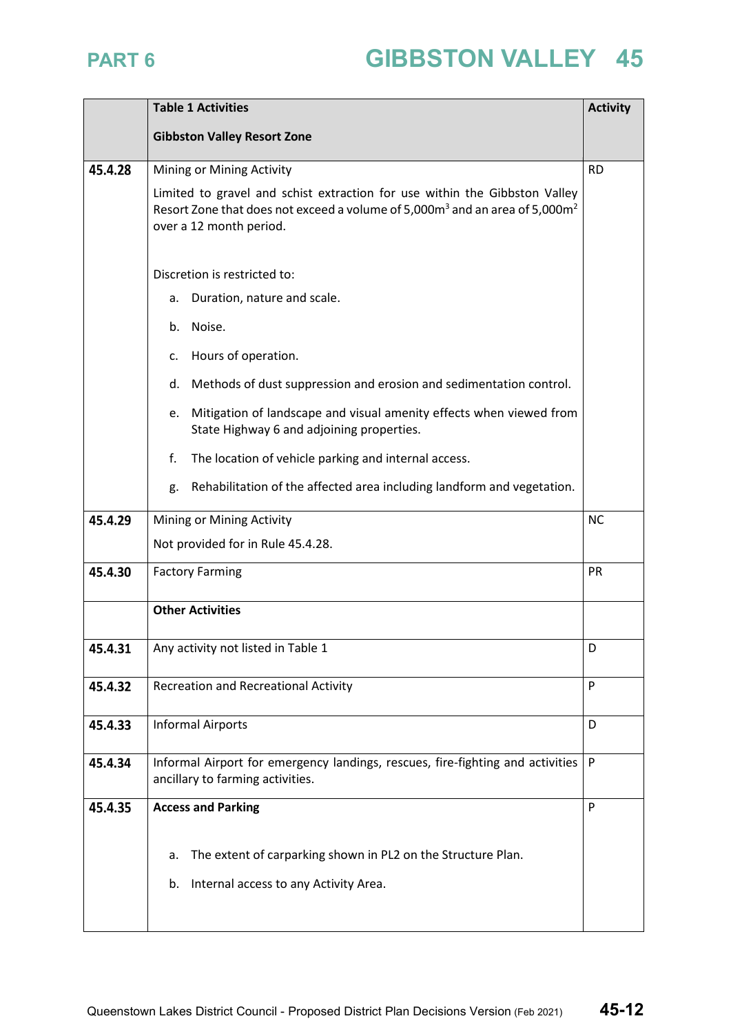|         | <b>Table 1 Activities</b>                                                                                                                                                                                    | <b>Activity</b> |  |  |  |
|---------|--------------------------------------------------------------------------------------------------------------------------------------------------------------------------------------------------------------|-----------------|--|--|--|
|         | <b>Gibbston Valley Resort Zone</b>                                                                                                                                                                           |                 |  |  |  |
|         |                                                                                                                                                                                                              |                 |  |  |  |
| 45.4.28 | Mining or Mining Activity                                                                                                                                                                                    | <b>RD</b>       |  |  |  |
|         | Limited to gravel and schist extraction for use within the Gibbston Valley<br>Resort Zone that does not exceed a volume of 5,000m <sup>3</sup> and an area of 5,000m <sup>2</sup><br>over a 12 month period. |                 |  |  |  |
|         | Discretion is restricted to:                                                                                                                                                                                 |                 |  |  |  |
|         | Duration, nature and scale.<br>a.                                                                                                                                                                            |                 |  |  |  |
|         | Noise.<br>b.                                                                                                                                                                                                 |                 |  |  |  |
|         | Hours of operation.<br>c.                                                                                                                                                                                    |                 |  |  |  |
|         | Methods of dust suppression and erosion and sedimentation control.<br>d.                                                                                                                                     |                 |  |  |  |
|         | Mitigation of landscape and visual amenity effects when viewed from<br>e.<br>State Highway 6 and adjoining properties.                                                                                       |                 |  |  |  |
|         | f.<br>The location of vehicle parking and internal access.                                                                                                                                                   |                 |  |  |  |
|         | Rehabilitation of the affected area including landform and vegetation.<br>g.                                                                                                                                 |                 |  |  |  |
| 45.4.29 | Mining or Mining Activity<br><b>NC</b>                                                                                                                                                                       |                 |  |  |  |
|         | Not provided for in Rule 45.4.28.                                                                                                                                                                            |                 |  |  |  |
| 45.4.30 | <b>Factory Farming</b><br>PR                                                                                                                                                                                 |                 |  |  |  |
|         | <b>Other Activities</b>                                                                                                                                                                                      |                 |  |  |  |
| 45.4.31 | Any activity not listed in Table 1                                                                                                                                                                           | D               |  |  |  |
| 45.4.32 | <b>Recreation and Recreational Activity</b>                                                                                                                                                                  | P               |  |  |  |
| 45.4.33 | <b>Informal Airports</b>                                                                                                                                                                                     | D               |  |  |  |
| 45.4.34 | Informal Airport for emergency landings, rescues, fire-fighting and activities<br>ancillary to farming activities.                                                                                           | P               |  |  |  |
| 45.4.35 | <b>Access and Parking</b>                                                                                                                                                                                    | P               |  |  |  |
|         |                                                                                                                                                                                                              |                 |  |  |  |
|         | The extent of carparking shown in PL2 on the Structure Plan.<br>a.                                                                                                                                           |                 |  |  |  |
|         | Internal access to any Activity Area.<br>b.                                                                                                                                                                  |                 |  |  |  |
|         |                                                                                                                                                                                                              |                 |  |  |  |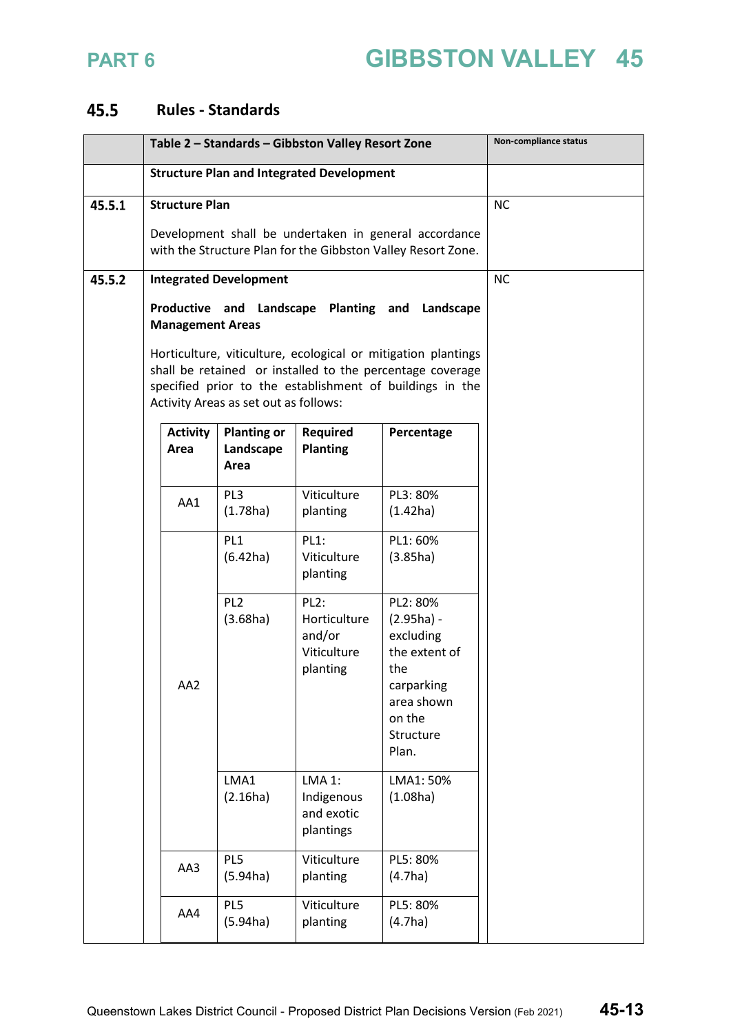

### **Rules - Standards**

|        | Table 2 - Standards - Gibbston Valley Resort Zone                                                                     |                         |                                                                                                                                                                                                                                 |                                                                        | Non-compliance status                                                                                                     |           |
|--------|-----------------------------------------------------------------------------------------------------------------------|-------------------------|---------------------------------------------------------------------------------------------------------------------------------------------------------------------------------------------------------------------------------|------------------------------------------------------------------------|---------------------------------------------------------------------------------------------------------------------------|-----------|
|        | <b>Structure Plan and Integrated Development</b>                                                                      |                         |                                                                                                                                                                                                                                 |                                                                        |                                                                                                                           |           |
| 45.5.1 |                                                                                                                       | <b>Structure Plan</b>   |                                                                                                                                                                                                                                 |                                                                        |                                                                                                                           | <b>NC</b> |
|        | Development shall be undertaken in general accordance<br>with the Structure Plan for the Gibbston Valley Resort Zone. |                         |                                                                                                                                                                                                                                 |                                                                        |                                                                                                                           |           |
|        |                                                                                                                       |                         |                                                                                                                                                                                                                                 |                                                                        |                                                                                                                           |           |
| 45.5.2 | <b>Integrated Development</b>                                                                                         |                         |                                                                                                                                                                                                                                 |                                                                        | <b>NC</b>                                                                                                                 |           |
|        |                                                                                                                       | <b>Management Areas</b> | Productive and Landscape Planting and Landscape                                                                                                                                                                                 |                                                                        |                                                                                                                           |           |
|        |                                                                                                                       |                         | Horticulture, viticulture, ecological or mitigation plantings<br>shall be retained or installed to the percentage coverage<br>specified prior to the establishment of buildings in the<br>Activity Areas as set out as follows: |                                                                        |                                                                                                                           |           |
|        |                                                                                                                       | <b>Activity</b><br>Area | <b>Planting or</b><br>Landscape<br>Area                                                                                                                                                                                         | <b>Required</b><br><b>Planting</b>                                     | Percentage                                                                                                                |           |
|        |                                                                                                                       | AA1                     | PL3<br>(1.78ha)                                                                                                                                                                                                                 | Viticulture<br>planting                                                | PL3: 80%<br>(1.42ha)                                                                                                      |           |
|        |                                                                                                                       |                         | PL <sub>1</sub><br>(6.42ha)                                                                                                                                                                                                     | <b>PL1:</b><br>Viticulture<br>planting                                 | PL1: 60%<br>(3.85ha)                                                                                                      |           |
|        |                                                                                                                       | AA2                     | PL <sub>2</sub><br>(3.68ha)                                                                                                                                                                                                     | PL <sub>2</sub> :<br>Horticulture<br>and/or<br>Viticulture<br>planting | PL2: 80%<br>$(2.95ha) -$<br>excluding<br>the extent of<br>the<br>carparking<br>area shown<br>on the<br>Structure<br>Plan. |           |
|        |                                                                                                                       |                         | LMA1<br>(2.16ha)                                                                                                                                                                                                                | <b>LMA 1:</b><br>Indigenous<br>and exotic<br>plantings                 | LMA1: 50%<br>(1.08ha)                                                                                                     |           |
|        |                                                                                                                       | AA3                     | PL5<br>(5.94ha)                                                                                                                                                                                                                 | Viticulture<br>planting                                                | PL5: 80%<br>(4.7ha)                                                                                                       |           |
|        |                                                                                                                       | AA4                     | PL5<br>(5.94ha)                                                                                                                                                                                                                 | Viticulture<br>planting                                                | PL5: 80%<br>(4.7ha)                                                                                                       |           |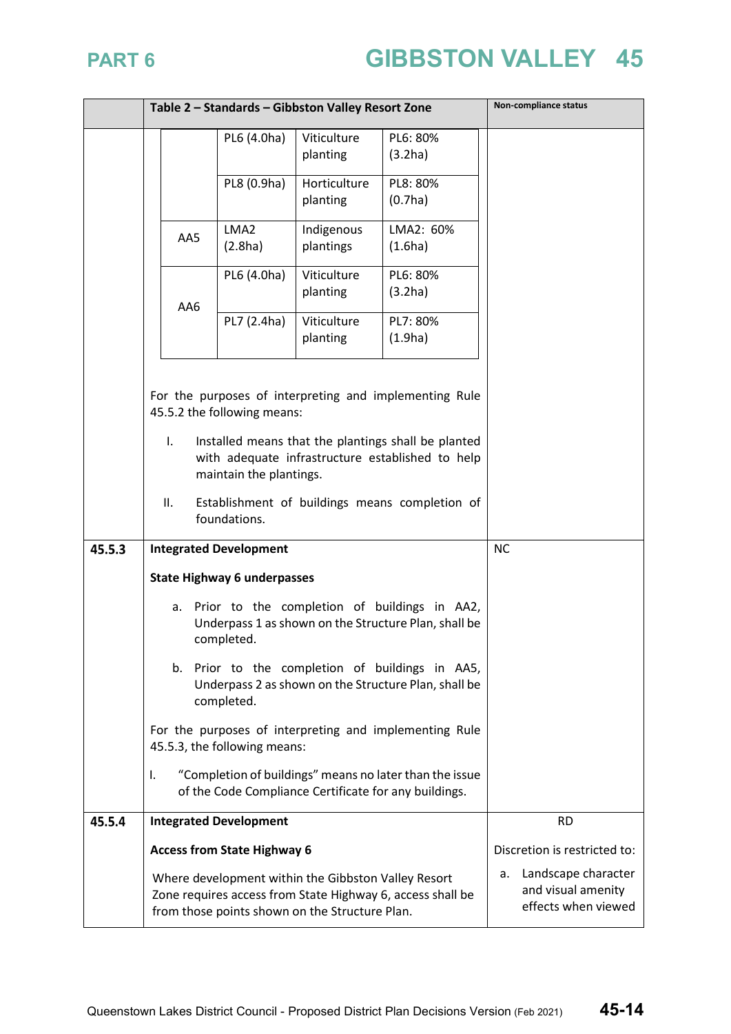|        | Table 2 - Standards - Gibbston Valley Resort Zone                                                                                        |                                                                                                                    |                                                                                                       | Non-compliance status                                                                                            |                                                                        |
|--------|------------------------------------------------------------------------------------------------------------------------------------------|--------------------------------------------------------------------------------------------------------------------|-------------------------------------------------------------------------------------------------------|------------------------------------------------------------------------------------------------------------------|------------------------------------------------------------------------|
|        |                                                                                                                                          | PL6 (4.0ha)                                                                                                        | Viticulture<br>planting                                                                               | PL6: 80%<br>(3.2ha)                                                                                              |                                                                        |
|        |                                                                                                                                          | PL8 (0.9ha)                                                                                                        | Horticulture<br>planting                                                                              | PL8: 80%<br>(0.7ha)                                                                                              |                                                                        |
|        | AA5                                                                                                                                      | LMA <sub>2</sub><br>(2.8ha)                                                                                        | Indigenous<br>plantings                                                                               | LMA2: 60%<br>(1.6ha)                                                                                             |                                                                        |
|        | AA6                                                                                                                                      | PL6 (4.0ha)                                                                                                        | Viticulture<br>planting                                                                               | PL6: 80%<br>(3.2ha)                                                                                              |                                                                        |
|        |                                                                                                                                          | PL7 (2.4ha)                                                                                                        | Viticulture<br>planting                                                                               | PL7: 80%<br>(1.9ha)                                                                                              |                                                                        |
|        |                                                                                                                                          | 45.5.2 the following means:                                                                                        |                                                                                                       | For the purposes of interpreting and implementing Rule                                                           |                                                                        |
|        | I.<br>Installed means that the plantings shall be planted<br>with adequate infrastructure established to help<br>maintain the plantings. |                                                                                                                    |                                                                                                       |                                                                                                                  |                                                                        |
|        | ΙΙ.                                                                                                                                      | foundations.                                                                                                       |                                                                                                       | Establishment of buildings means completion of                                                                   |                                                                        |
| 45.5.3 |                                                                                                                                          | <b>Integrated Development</b>                                                                                      |                                                                                                       |                                                                                                                  | <b>NC</b>                                                              |
|        | <b>State Highway 6 underpasses</b>                                                                                                       |                                                                                                                    |                                                                                                       |                                                                                                                  |                                                                        |
|        | a.                                                                                                                                       | Prior to the completion of buildings in AA2,<br>Underpass 1 as shown on the Structure Plan, shall be<br>completed. |                                                                                                       |                                                                                                                  |                                                                        |
|        | b. Prior to the completion of buildings in AA5,<br>Underpass 2 as shown on the Structure Plan, shall be<br>completed.                    |                                                                                                                    |                                                                                                       |                                                                                                                  |                                                                        |
|        |                                                                                                                                          | 45.5.3, the following means:                                                                                       | For the purposes of interpreting and implementing Rule                                                |                                                                                                                  |                                                                        |
|        | I.                                                                                                                                       |                                                                                                                    |                                                                                                       | "Completion of buildings" means no later than the issue<br>of the Code Compliance Certificate for any buildings. |                                                                        |
| 45.5.4 |                                                                                                                                          | <b>Integrated Development</b>                                                                                      |                                                                                                       |                                                                                                                  | <b>RD</b>                                                              |
|        |                                                                                                                                          | <b>Access from State Highway 6</b>                                                                                 |                                                                                                       |                                                                                                                  | Discretion is restricted to:                                           |
|        |                                                                                                                                          |                                                                                                                    | Where development within the Gibbston Valley Resort<br>from those points shown on the Structure Plan. | Zone requires access from State Highway 6, access shall be                                                       | Landscape character<br>а.<br>and visual amenity<br>effects when viewed |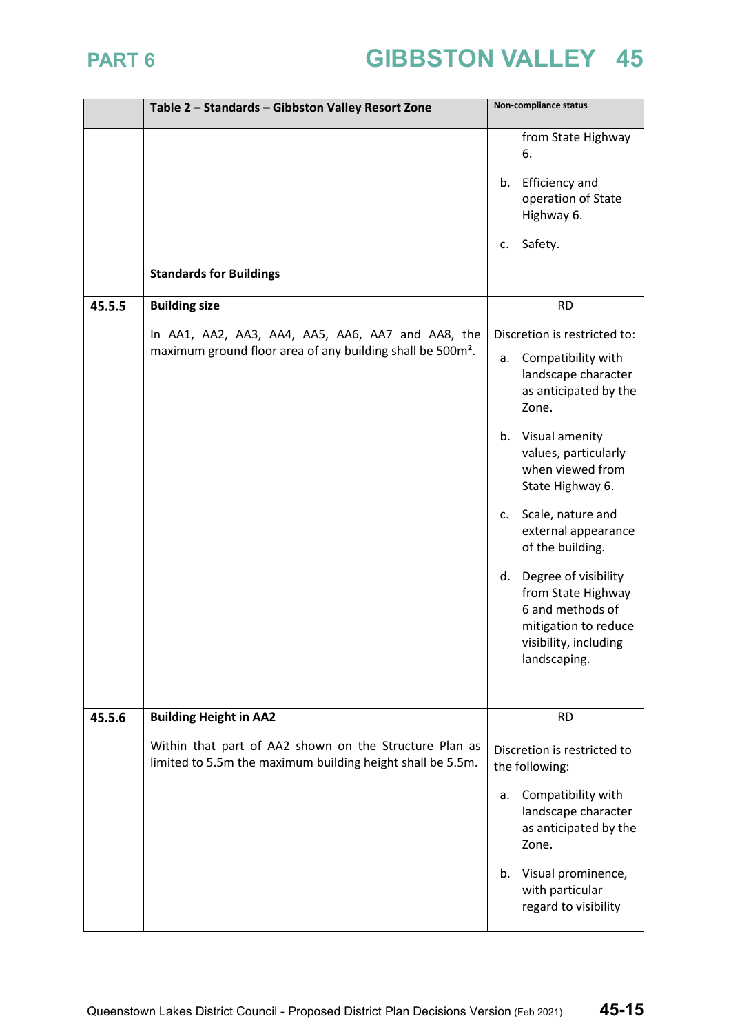|        | Table 2 - Standards - Gibbston Valley Resort Zone                                                                    | Non-compliance status                                                                                                                 |
|--------|----------------------------------------------------------------------------------------------------------------------|---------------------------------------------------------------------------------------------------------------------------------------|
|        |                                                                                                                      | from State Highway<br>6.                                                                                                              |
|        |                                                                                                                      | <b>Efficiency and</b><br>b.<br>operation of State<br>Highway 6.                                                                       |
|        |                                                                                                                      | Safety.<br>c.                                                                                                                         |
|        | <b>Standards for Buildings</b>                                                                                       |                                                                                                                                       |
| 45.5.5 | <b>Building size</b>                                                                                                 | <b>RD</b>                                                                                                                             |
|        | In AA1, AA2, AA3, AA4, AA5, AA6, AA7 and AA8, the                                                                    | Discretion is restricted to:                                                                                                          |
|        | maximum ground floor area of any building shall be 500m <sup>2</sup> .                                               | Compatibility with<br>a.<br>landscape character<br>as anticipated by the<br>Zone.                                                     |
|        |                                                                                                                      | Visual amenity<br>b.<br>values, particularly<br>when viewed from<br>State Highway 6.                                                  |
|        |                                                                                                                      | Scale, nature and<br>c.<br>external appearance<br>of the building.                                                                    |
|        |                                                                                                                      | Degree of visibility<br>d.<br>from State Highway<br>6 and methods of<br>mitigation to reduce<br>visibility, including<br>landscaping. |
| 45.5.6 | <b>Building Height in AA2</b>                                                                                        | <b>RD</b>                                                                                                                             |
|        | Within that part of AA2 shown on the Structure Plan as<br>limited to 5.5m the maximum building height shall be 5.5m. | Discretion is restricted to<br>the following:                                                                                         |
|        |                                                                                                                      | Compatibility with<br>a.<br>landscape character<br>as anticipated by the<br>Zone.                                                     |
|        |                                                                                                                      | Visual prominence,<br>b.<br>with particular<br>regard to visibility                                                                   |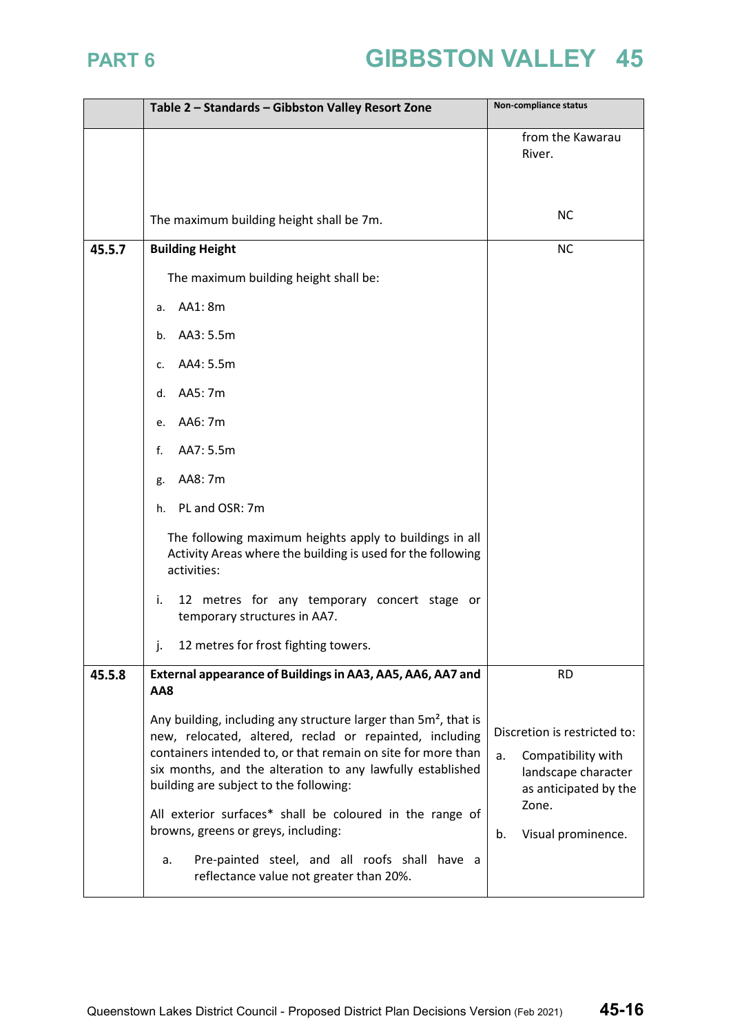|        | Table 2 - Standards - Gibbston Valley Resort Zone                                                                                                                                                                                                                                                                                                                                                                                                                                                                   | Non-compliance status                                                                                                                         |
|--------|---------------------------------------------------------------------------------------------------------------------------------------------------------------------------------------------------------------------------------------------------------------------------------------------------------------------------------------------------------------------------------------------------------------------------------------------------------------------------------------------------------------------|-----------------------------------------------------------------------------------------------------------------------------------------------|
|        |                                                                                                                                                                                                                                                                                                                                                                                                                                                                                                                     | from the Kawarau<br>River.                                                                                                                    |
|        | The maximum building height shall be 7m.                                                                                                                                                                                                                                                                                                                                                                                                                                                                            | <b>NC</b>                                                                                                                                     |
| 45.5.7 | <b>Building Height</b>                                                                                                                                                                                                                                                                                                                                                                                                                                                                                              | <b>NC</b>                                                                                                                                     |
|        | The maximum building height shall be:                                                                                                                                                                                                                                                                                                                                                                                                                                                                               |                                                                                                                                               |
|        | AA1: 8m<br>a.                                                                                                                                                                                                                                                                                                                                                                                                                                                                                                       |                                                                                                                                               |
|        | AA3: 5.5m<br>b.                                                                                                                                                                                                                                                                                                                                                                                                                                                                                                     |                                                                                                                                               |
|        | AA4: 5.5m<br>c.                                                                                                                                                                                                                                                                                                                                                                                                                                                                                                     |                                                                                                                                               |
|        | AA5: 7m<br>d.                                                                                                                                                                                                                                                                                                                                                                                                                                                                                                       |                                                                                                                                               |
|        | AA6: 7m<br>e.                                                                                                                                                                                                                                                                                                                                                                                                                                                                                                       |                                                                                                                                               |
|        | AA7: 5.5m<br>f.                                                                                                                                                                                                                                                                                                                                                                                                                                                                                                     |                                                                                                                                               |
|        | AA8: 7m<br>g.                                                                                                                                                                                                                                                                                                                                                                                                                                                                                                       |                                                                                                                                               |
|        | PL and OSR: 7m<br>h.                                                                                                                                                                                                                                                                                                                                                                                                                                                                                                |                                                                                                                                               |
|        | The following maximum heights apply to buildings in all<br>Activity Areas where the building is used for the following<br>activities:                                                                                                                                                                                                                                                                                                                                                                               |                                                                                                                                               |
|        | i.<br>12 metres for any temporary concert stage or<br>temporary structures in AA7.                                                                                                                                                                                                                                                                                                                                                                                                                                  |                                                                                                                                               |
|        | 12 metres for frost fighting towers.                                                                                                                                                                                                                                                                                                                                                                                                                                                                                |                                                                                                                                               |
| 45.5.8 | External appearance of Buildings in AA3, AA5, AA6, AA7 and<br>AA8                                                                                                                                                                                                                                                                                                                                                                                                                                                   | <b>RD</b>                                                                                                                                     |
|        | Any building, including any structure larger than 5m <sup>2</sup> , that is<br>new, relocated, altered, reclad or repainted, including<br>containers intended to, or that remain on site for more than<br>six months, and the alteration to any lawfully established<br>building are subject to the following:<br>All exterior surfaces* shall be coloured in the range of<br>browns, greens or greys, including:<br>Pre-painted steel, and all roofs shall have a<br>a.<br>reflectance value not greater than 20%. | Discretion is restricted to:<br>Compatibility with<br>a.<br>landscape character<br>as anticipated by the<br>Zone.<br>b.<br>Visual prominence. |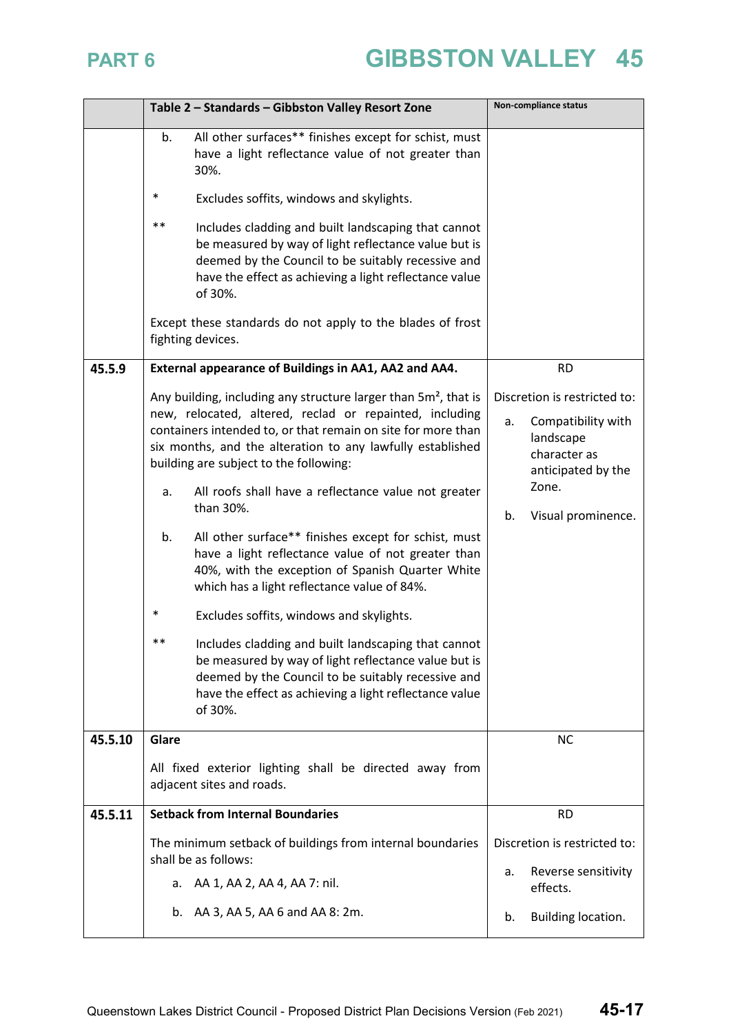|         | Table 2 - Standards - Gibbston Valley Resort Zone                                                                                                                                                                                                                                                                                                                                                                                                                                                                                                                                                                                                                                                                                                                                                                                                                                                                | Non-compliance status                                                                                                                            |
|---------|------------------------------------------------------------------------------------------------------------------------------------------------------------------------------------------------------------------------------------------------------------------------------------------------------------------------------------------------------------------------------------------------------------------------------------------------------------------------------------------------------------------------------------------------------------------------------------------------------------------------------------------------------------------------------------------------------------------------------------------------------------------------------------------------------------------------------------------------------------------------------------------------------------------|--------------------------------------------------------------------------------------------------------------------------------------------------|
|         | All other surfaces** finishes except for schist, must<br>b.<br>have a light reflectance value of not greater than<br>30%.                                                                                                                                                                                                                                                                                                                                                                                                                                                                                                                                                                                                                                                                                                                                                                                        |                                                                                                                                                  |
|         | $\ast$<br>Excludes soffits, windows and skylights.                                                                                                                                                                                                                                                                                                                                                                                                                                                                                                                                                                                                                                                                                                                                                                                                                                                               |                                                                                                                                                  |
|         | $***$<br>Includes cladding and built landscaping that cannot<br>be measured by way of light reflectance value but is<br>deemed by the Council to be suitably recessive and<br>have the effect as achieving a light reflectance value<br>of 30%.<br>Except these standards do not apply to the blades of frost<br>fighting devices.                                                                                                                                                                                                                                                                                                                                                                                                                                                                                                                                                                               |                                                                                                                                                  |
| 45.5.9  | External appearance of Buildings in AA1, AA2 and AA4.                                                                                                                                                                                                                                                                                                                                                                                                                                                                                                                                                                                                                                                                                                                                                                                                                                                            | <b>RD</b>                                                                                                                                        |
|         | Any building, including any structure larger than $5m^2$ , that is<br>new, relocated, altered, reclad or repainted, including<br>containers intended to, or that remain on site for more than<br>six months, and the alteration to any lawfully established<br>building are subject to the following:<br>All roofs shall have a reflectance value not greater<br>a.<br>than 30%.<br>All other surface** finishes except for schist, must<br>b.<br>have a light reflectance value of not greater than<br>40%, with the exception of Spanish Quarter White<br>which has a light reflectance value of 84%.<br>*<br>Excludes soffits, windows and skylights.<br>$\ast\ast$<br>Includes cladding and built landscaping that cannot<br>be measured by way of light reflectance value but is<br>deemed by the Council to be suitably recessive and<br>have the effect as achieving a light reflectance value<br>of 30%. | Discretion is restricted to:<br>Compatibility with<br>а.<br>landscape<br>character as<br>anticipated by the<br>Zone.<br>b.<br>Visual prominence. |
| 45.5.10 | Glare                                                                                                                                                                                                                                                                                                                                                                                                                                                                                                                                                                                                                                                                                                                                                                                                                                                                                                            | <b>NC</b>                                                                                                                                        |
|         | All fixed exterior lighting shall be directed away from<br>adjacent sites and roads.                                                                                                                                                                                                                                                                                                                                                                                                                                                                                                                                                                                                                                                                                                                                                                                                                             |                                                                                                                                                  |
| 45.5.11 | <b>Setback from Internal Boundaries</b>                                                                                                                                                                                                                                                                                                                                                                                                                                                                                                                                                                                                                                                                                                                                                                                                                                                                          | <b>RD</b>                                                                                                                                        |
|         | The minimum setback of buildings from internal boundaries<br>shall be as follows:                                                                                                                                                                                                                                                                                                                                                                                                                                                                                                                                                                                                                                                                                                                                                                                                                                | Discretion is restricted to:                                                                                                                     |
|         | AA 1, AA 2, AA 4, AA 7: nil.<br>а.                                                                                                                                                                                                                                                                                                                                                                                                                                                                                                                                                                                                                                                                                                                                                                                                                                                                               | Reverse sensitivity<br>a.<br>effects.                                                                                                            |
|         | AA 3, AA 5, AA 6 and AA 8: 2m.<br>b.                                                                                                                                                                                                                                                                                                                                                                                                                                                                                                                                                                                                                                                                                                                                                                                                                                                                             | Building location.<br>b.                                                                                                                         |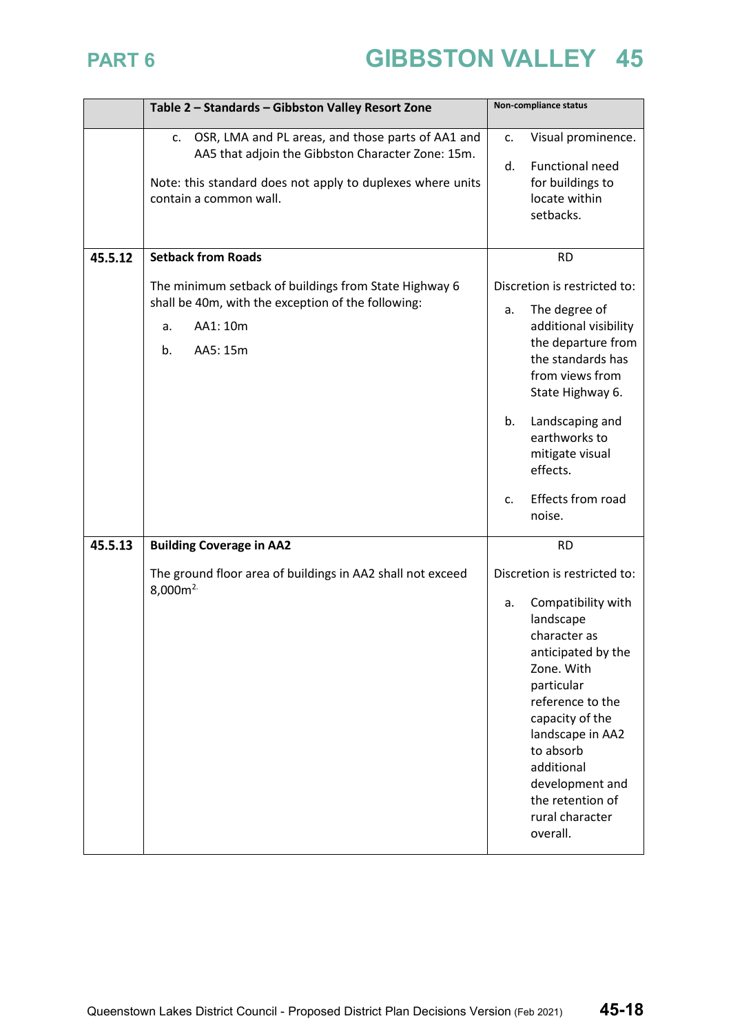|         | Table 2 - Standards - Gibbston Valley Resort Zone                                                                                                                                                                | Non-compliance status                                                                                                                                                                                                                                                                               |
|---------|------------------------------------------------------------------------------------------------------------------------------------------------------------------------------------------------------------------|-----------------------------------------------------------------------------------------------------------------------------------------------------------------------------------------------------------------------------------------------------------------------------------------------------|
|         | OSR, LMA and PL areas, and those parts of AA1 and<br>$\mathsf{C}$ .<br>AA5 that adjoin the Gibbston Character Zone: 15m.<br>Note: this standard does not apply to duplexes where units<br>contain a common wall. | Visual prominence.<br>c.<br><b>Functional need</b><br>d.<br>for buildings to<br>locate within<br>setbacks.                                                                                                                                                                                          |
| 45.5.12 | <b>Setback from Roads</b>                                                                                                                                                                                        | <b>RD</b>                                                                                                                                                                                                                                                                                           |
|         | The minimum setback of buildings from State Highway 6<br>shall be 40m, with the exception of the following:<br>AA1: 10m<br>a.<br>b.<br>AA5: 15m                                                                  | Discretion is restricted to:<br>The degree of<br>a.<br>additional visibility<br>the departure from<br>the standards has<br>from views from<br>State Highway 6.<br>Landscaping and<br>b.<br>earthworks to<br>mitigate visual<br>effects.<br>Effects from road<br>c.<br>noise.                        |
| 45.5.13 | <b>Building Coverage in AA2</b>                                                                                                                                                                                  | <b>RD</b>                                                                                                                                                                                                                                                                                           |
|         | The ground floor area of buildings in AA2 shall not exceed<br>8,000m <sup>2</sup>                                                                                                                                | Discretion is restricted to:<br>Compatibility with<br>a.<br>landscape<br>character as<br>anticipated by the<br>Zone. With<br>particular<br>reference to the<br>capacity of the<br>landscape in AA2<br>to absorb<br>additional<br>development and<br>the retention of<br>rural character<br>overall. |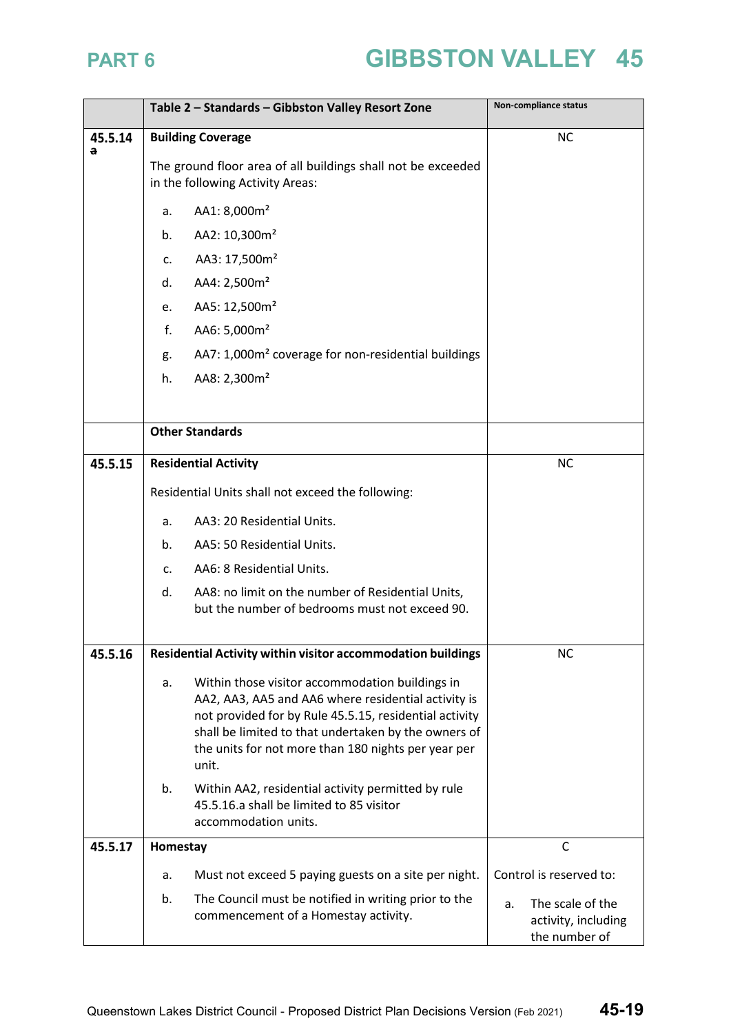|              | Table 2 - Standards - Gibbston Valley Resort Zone                                                                                                                                                                                                                                              | Non-compliance status                                          |
|--------------|------------------------------------------------------------------------------------------------------------------------------------------------------------------------------------------------------------------------------------------------------------------------------------------------|----------------------------------------------------------------|
| 45.5.14<br>a | <b>Building Coverage</b>                                                                                                                                                                                                                                                                       | <b>NC</b>                                                      |
|              | The ground floor area of all buildings shall not be exceeded<br>in the following Activity Areas:                                                                                                                                                                                               |                                                                |
|              | AA1: 8,000m <sup>2</sup><br>a.                                                                                                                                                                                                                                                                 |                                                                |
|              | AA2: 10,300m <sup>2</sup><br>b.                                                                                                                                                                                                                                                                |                                                                |
|              | AA3: 17,500m <sup>2</sup><br>c.                                                                                                                                                                                                                                                                |                                                                |
|              | AA4: 2,500m <sup>2</sup><br>d.                                                                                                                                                                                                                                                                 |                                                                |
|              | AA5: 12,500m <sup>2</sup><br>e.                                                                                                                                                                                                                                                                |                                                                |
|              | f.<br>AA6: 5,000m <sup>2</sup>                                                                                                                                                                                                                                                                 |                                                                |
|              | AA7: 1,000m <sup>2</sup> coverage for non-residential buildings<br>g.                                                                                                                                                                                                                          |                                                                |
|              | AA8: 2,300m <sup>2</sup><br>h.                                                                                                                                                                                                                                                                 |                                                                |
|              |                                                                                                                                                                                                                                                                                                |                                                                |
|              | <b>Other Standards</b>                                                                                                                                                                                                                                                                         |                                                                |
| 45.5.15      | <b>Residential Activity</b>                                                                                                                                                                                                                                                                    | <b>NC</b>                                                      |
|              | Residential Units shall not exceed the following:                                                                                                                                                                                                                                              |                                                                |
|              | AA3: 20 Residential Units.<br>а.                                                                                                                                                                                                                                                               |                                                                |
|              | AA5: 50 Residential Units.<br>b.                                                                                                                                                                                                                                                               |                                                                |
|              | AA6: 8 Residential Units.<br>c.                                                                                                                                                                                                                                                                |                                                                |
|              | AA8: no limit on the number of Residential Units,<br>d.<br>but the number of bedrooms must not exceed 90.                                                                                                                                                                                      |                                                                |
|              |                                                                                                                                                                                                                                                                                                |                                                                |
| 45.5.16      | Residential Activity within visitor accommodation buildings                                                                                                                                                                                                                                    | <b>NC</b>                                                      |
|              | Within those visitor accommodation buildings in<br>a.<br>AA2, AA3, AA5 and AA6 where residential activity is<br>not provided for by Rule 45.5.15, residential activity<br>shall be limited to that undertaken by the owners of<br>the units for not more than 180 nights per year per<br>unit. |                                                                |
|              | Within AA2, residential activity permitted by rule<br>b.<br>45.5.16.a shall be limited to 85 visitor<br>accommodation units.                                                                                                                                                                   |                                                                |
| 45.5.17      | Homestay                                                                                                                                                                                                                                                                                       | C                                                              |
|              | Must not exceed 5 paying guests on a site per night.<br>a.                                                                                                                                                                                                                                     | Control is reserved to:                                        |
|              | The Council must be notified in writing prior to the<br>b.<br>commencement of a Homestay activity.                                                                                                                                                                                             | The scale of the<br>a.<br>activity, including<br>the number of |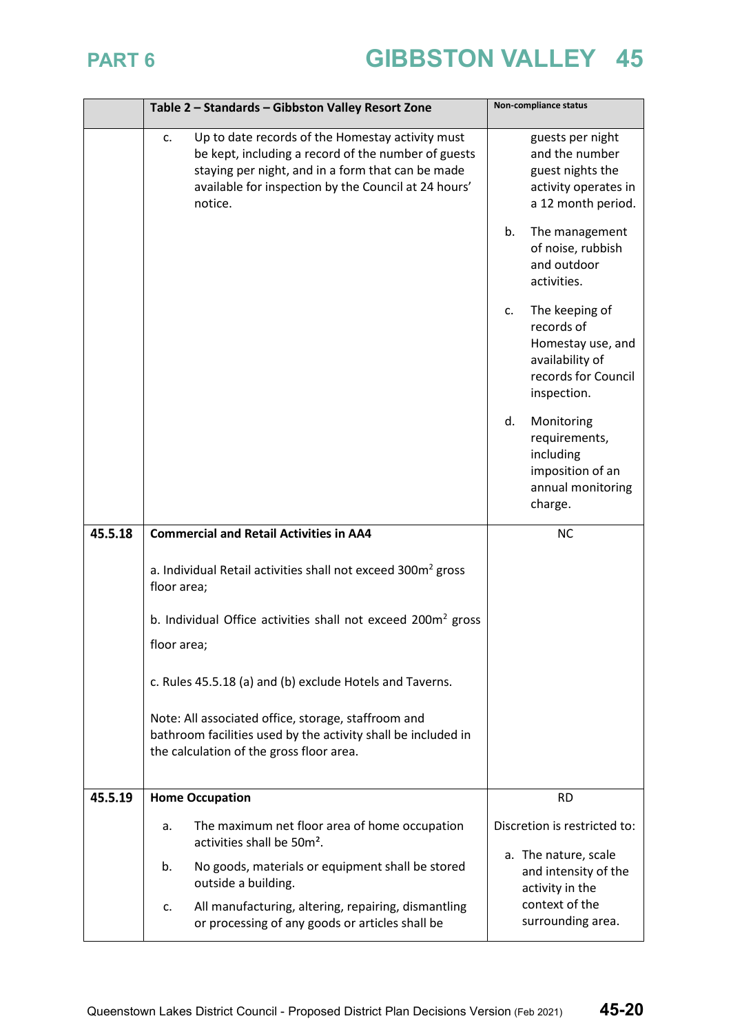|         | Table 2 - Standards - Gibbston Valley Resort Zone                                                                                                                                                                                     | Non-compliance status                                                                                            |
|---------|---------------------------------------------------------------------------------------------------------------------------------------------------------------------------------------------------------------------------------------|------------------------------------------------------------------------------------------------------------------|
|         | Up to date records of the Homestay activity must<br>c.<br>be kept, including a record of the number of guests<br>staying per night, and in a form that can be made<br>available for inspection by the Council at 24 hours'<br>notice. | guests per night<br>and the number<br>guest nights the<br>activity operates in<br>a 12 month period.             |
|         |                                                                                                                                                                                                                                       | The management<br>b.<br>of noise, rubbish<br>and outdoor<br>activities.                                          |
|         |                                                                                                                                                                                                                                       | The keeping of<br>c.<br>records of<br>Homestay use, and<br>availability of<br>records for Council<br>inspection. |
|         |                                                                                                                                                                                                                                       | Monitoring<br>d.<br>requirements,<br>including<br>imposition of an<br>annual monitoring<br>charge.               |
| 45.5.18 | <b>Commercial and Retail Activities in AA4</b>                                                                                                                                                                                        | <b>NC</b>                                                                                                        |
|         | a. Individual Retail activities shall not exceed 300m <sup>2</sup> gross<br>floor area;                                                                                                                                               |                                                                                                                  |
|         | b. Individual Office activities shall not exceed 200m <sup>2</sup> gross                                                                                                                                                              |                                                                                                                  |
|         | floor area;                                                                                                                                                                                                                           |                                                                                                                  |
|         | c. Rules 45.5.18 (a) and (b) exclude Hotels and Taverns.                                                                                                                                                                              |                                                                                                                  |
|         | Note: All associated office, storage, staffroom and<br>bathroom facilities used by the activity shall be included in<br>the calculation of the gross floor area.                                                                      |                                                                                                                  |
| 45.5.19 | <b>Home Occupation</b>                                                                                                                                                                                                                | <b>RD</b>                                                                                                        |
|         | The maximum net floor area of home occupation<br>а.<br>activities shall be 50m <sup>2</sup> .                                                                                                                                         | Discretion is restricted to:                                                                                     |
|         | No goods, materials or equipment shall be stored<br>b.<br>outside a building.                                                                                                                                                         | a. The nature, scale<br>and intensity of the<br>activity in the                                                  |
|         | All manufacturing, altering, repairing, dismantling<br>c.<br>or processing of any goods or articles shall be                                                                                                                          | context of the<br>surrounding area.                                                                              |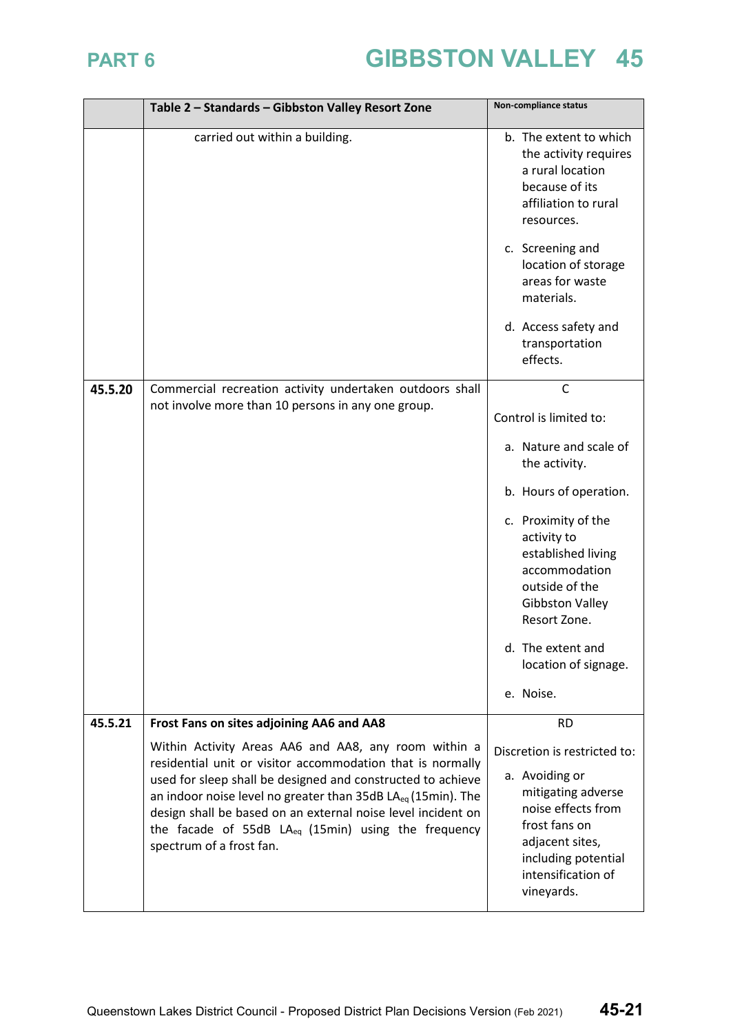|         | Table 2 - Standards - Gibbston Valley Resort Zone                                                                                                                                                                                                                                                                                                                                                                     | Non-compliance status                                                                                                                                                                                                                                                                                          |
|---------|-----------------------------------------------------------------------------------------------------------------------------------------------------------------------------------------------------------------------------------------------------------------------------------------------------------------------------------------------------------------------------------------------------------------------|----------------------------------------------------------------------------------------------------------------------------------------------------------------------------------------------------------------------------------------------------------------------------------------------------------------|
|         | carried out within a building.                                                                                                                                                                                                                                                                                                                                                                                        | b. The extent to which<br>the activity requires<br>a rural location<br>because of its<br>affiliation to rural<br>resources.<br>c. Screening and<br>location of storage<br>areas for waste<br>materials.<br>d. Access safety and<br>transportation<br>effects.                                                  |
| 45.5.20 | Commercial recreation activity undertaken outdoors shall<br>not involve more than 10 persons in any one group.                                                                                                                                                                                                                                                                                                        | $\mathsf{C}$<br>Control is limited to:<br>a. Nature and scale of<br>the activity.<br>b. Hours of operation.<br>c. Proximity of the<br>activity to<br>established living<br>accommodation<br>outside of the<br><b>Gibbston Valley</b><br>Resort Zone.<br>d. The extent and<br>location of signage.<br>e. Noise. |
| 45.5.21 | Frost Fans on sites adjoining AA6 and AA8                                                                                                                                                                                                                                                                                                                                                                             | <b>RD</b>                                                                                                                                                                                                                                                                                                      |
|         | Within Activity Areas AA6 and AA8, any room within a<br>residential unit or visitor accommodation that is normally<br>used for sleep shall be designed and constructed to achieve<br>an indoor noise level no greater than 35dB LA <sub>eq</sub> (15min). The<br>design shall be based on an external noise level incident on<br>the facade of 55dB $LA_{eq}$ (15min) using the frequency<br>spectrum of a frost fan. | Discretion is restricted to:<br>a. Avoiding or<br>mitigating adverse<br>noise effects from<br>frost fans on<br>adjacent sites,<br>including potential<br>intensification of<br>vineyards.                                                                                                                      |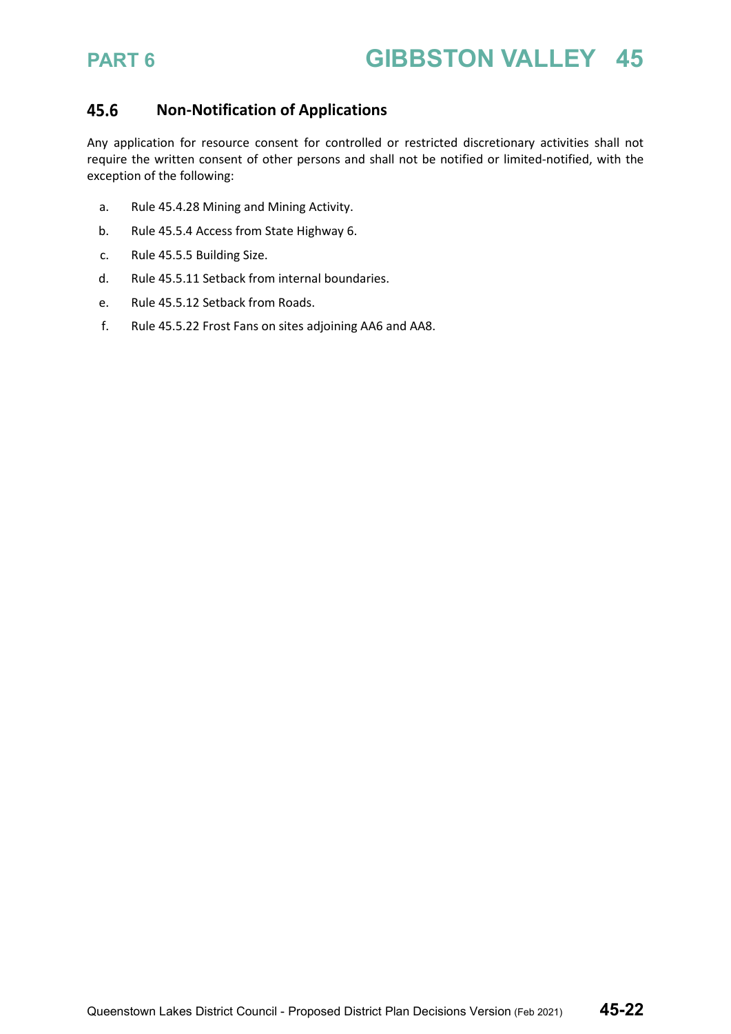### 45.6 **Non-Notification of Applications**

Any application for resource consent for controlled or restricted discretionary activities shall not require the written consent of other persons and shall not be notified or limited-notified, with the exception of the following:

- a. Rule 45.4.28 Mining and Mining Activity.
- b. Rule 45.5.4 Access from State Highway 6.
- c. Rule 45.5.5 Building Size.
- d. Rule 45.5.11 Setback from internal boundaries.
- e. Rule 45.5.12 Setback from Roads.
- f. Rule 45.5.22 Frost Fans on sites adjoining AA6 and AA8.